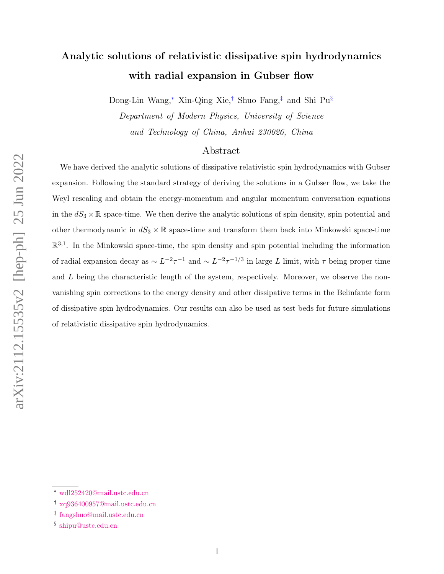# Analytic solutions of relativistic dissipative spin hydrodynamics with radial expansion in Gubser flow

Dong-Lin Wang,[∗](#page-0-0) Xin-Qing Xie,[†](#page-0-1) Shuo Fang,[‡](#page-0-2) and Shi Pu[§](#page-0-3)

Department of Modern Physics, University of Science and Technology of China, Anhui 230026, China

## Abstract

We have derived the analytic solutions of dissipative relativistic spin hydrodynamics with Gubser expansion. Following the standard strategy of deriving the solutions in a Gubser flow, we take the Weyl rescaling and obtain the energy-momentum and angular momentum conversation equations in the  $dS_3 \times \mathbb{R}$  space-time. We then derive the analytic solutions of spin density, spin potential and other thermodynamic in  $dS_3 \times \mathbb{R}$  space-time and transform them back into Minkowski space-time  $\mathbb{R}^{3,1}$ . In the Minkowski space-time, the spin density and spin potential including the information of radial expansion decay as  $\sim L^{-2}\tau^{-1}$  and  $\sim L^{-2}\tau^{-1/3}$  in large L limit, with  $\tau$  being proper time and  $L$  being the characteristic length of the system, respectively. Moreover, we observe the nonvanishing spin corrections to the energy density and other dissipative terms in the Belinfante form of dissipative spin hydrodynamics. Our results can also be used as test beds for future simulations of relativistic dissipative spin hydrodynamics.

<span id="page-0-0"></span>

<span id="page-0-1"></span><sup>∗</sup> [wdl252420@mail.ustc.edu.cn](mailto:wdl252420@mail.ustc.edu.cn)

<span id="page-0-2"></span><sup>†</sup> [xq936400957@mail.ustc.edu.cn](mailto:xq936400957@mail.ustc.edu.cn)

<span id="page-0-3"></span><sup>‡</sup> [fangshuo@mail.ustc.edu.cn](mailto:fangshuo@mail.ustc.edu.cn)

<sup>§</sup> [shipu@ustc.edu.cn](mailto:shipu@ustc.edu.cn)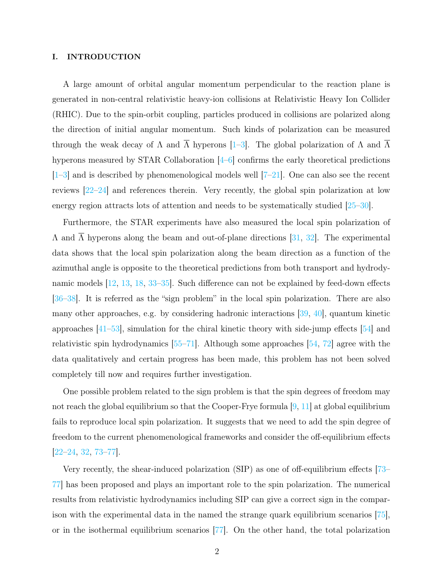#### I. INTRODUCTION

A large amount of orbital angular momentum perpendicular to the reaction plane is generated in non-central relativistic heavy-ion collisions at Relativistic Heavy Ion Collider (RHIC). Due to the spin-orbit coupling, particles produced in collisions are polarized along the direction of initial angular momentum. Such kinds of polarization can be measured through the weak decay of  $\Lambda$  and  $\overline{\Lambda}$  hyperons [\[1](#page-24-0)[–3\]](#page-24-1). The global polarization of  $\Lambda$  and  $\overline{\Lambda}$ hyperons measured by STAR Collaboration [\[4–](#page-24-2)[6\]](#page-24-3) confirms the early theoretical predictions  $\left[1-3\right]$  $\left[1-3\right]$  $\left[1-3\right]$  and is described by phenomenological models well  $\left[7-21\right]$ . One can also see the recent reviews [\[22](#page-25-1)[–24\]](#page-25-2) and references therein. Very recently, the global spin polarization at low energy region attracts lots of attention and needs to be systematically studied [\[25–](#page-25-3)[30\]](#page-25-4).

Furthermore, the STAR experiments have also measured the local spin polarization of Λ and Λ hyperons along the beam and out-of-plane directions [\[31,](#page-25-5) [32\]](#page-25-6). The experimental data shows that the local spin polarization along the beam direction as a function of the azimuthal angle is opposite to the theoretical predictions from both transport and hydrodynamic models [\[12,](#page-24-5) [13,](#page-24-6) [18,](#page-25-7) [33](#page-25-8)[–35\]](#page-25-9). Such difference can not be explained by feed-down effects [\[36–](#page-25-10)[38\]](#page-25-11). It is referred as the "sign problem" in the local spin polarization. There are also many other approaches, e.g. by considering hadronic interactions [\[39,](#page-26-0) [40\]](#page-26-1), quantum kinetic approaches [\[41–](#page-26-2)[53\]](#page-26-3), simulation for the chiral kinetic theory with side-jump effects [\[54\]](#page-26-4) and relativistic spin hydrodynamics [\[55–](#page-26-5)[71\]](#page-27-0). Although some approaches [\[54,](#page-26-4) [72\]](#page-27-1) agree with the data qualitatively and certain progress has been made, this problem has not been solved completely till now and requires further investigation.

One possible problem related to the sign problem is that the spin degrees of freedom may not reach the global equilibrium so that the Cooper-Frye formula  $[9, 11]$  $[9, 11]$  $[9, 11]$  at global equilibrium fails to reproduce local spin polarization. It suggests that we need to add the spin degree of freedom to the current phenomenological frameworks and consider the off-equilibrium effects [\[22–](#page-25-1)[24,](#page-25-2) [32,](#page-25-6) [73](#page-27-2)[–77\]](#page-27-3).

Very recently, the shear-induced polarization (SIP) as one of off-equilibrium effects [\[73–](#page-27-2) [77\]](#page-27-3) has been proposed and plays an important role to the spin polarization. The numerical results from relativistic hydrodynamics including SIP can give a correct sign in the comparison with the experimental data in the named the strange quark equilibrium scenarios [\[75\]](#page-27-4), or in the isothermal equilibrium scenarios [\[77\]](#page-27-3). On the other hand, the total polarization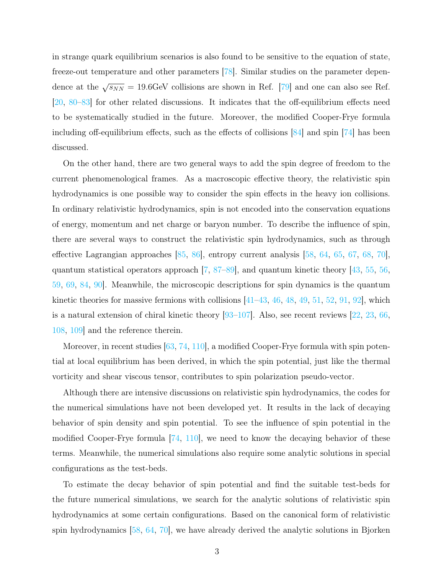in strange quark equilibrium scenarios is also found to be sensitive to the equation of state, freeze-out temperature and other parameters [\[78\]](#page-27-5). Similar studies on the parameter dependence at the  $\sqrt{s_{NN}} = 19.6$  GeV collisions are shown in Ref. [\[79\]](#page-27-6) and one can also see Ref. [\[20,](#page-25-12) [80–](#page-27-7)[83\]](#page-27-8) for other related discussions. It indicates that the off-equilibrium effects need to be systematically studied in the future. Moreover, the modified Cooper-Frye formula including off-equilibrium effects, such as the effects of collisions [\[84\]](#page-27-9) and spin [\[74\]](#page-27-10) has been discussed.

On the other hand, there are two general ways to add the spin degree of freedom to the current phenomenological frames. As a macroscopic effective theory, the relativistic spin hydrodynamics is one possible way to consider the spin effects in the heavy ion collisions. In ordinary relativistic hydrodynamics, spin is not encoded into the conservation equations of energy, momentum and net charge or baryon number. To describe the influence of spin, there are several ways to construct the relativistic spin hydrodynamics, such as through effective Lagrangian approaches [\[85,](#page-27-11) [86\]](#page-27-12), entropy current analysis [\[58,](#page-26-6) [64,](#page-27-13) [65,](#page-27-14) [67,](#page-27-15) [68,](#page-27-16) [70\]](#page-27-17), quantum statistical operators approach [\[7,](#page-24-4) [87–](#page-27-18)[89\]](#page-28-0), and quantum kinetic theory [\[43,](#page-26-7) [55,](#page-26-5) [56,](#page-26-8) [59,](#page-26-9) [69,](#page-27-19) [84,](#page-27-9) [90\]](#page-28-1). Meanwhile, the microscopic descriptions for spin dynamics is the quantum kinetic theories for massive fermions with collisions  $\left[41-43, 46, 48, 49, 51, 52, 91, 92\right]$  $\left[41-43, 46, 48, 49, 51, 52, 91, 92\right]$  $\left[41-43, 46, 48, 49, 51, 52, 91, 92\right]$  $\left[41-43, 46, 48, 49, 51, 52, 91, 92\right]$  $\left[41-43, 46, 48, 49, 51, 52, 91, 92\right]$  $\left[41-43, 46, 48, 49, 51, 52, 91, 92\right]$  $\left[41-43, 46, 48, 49, 51, 52, 91, 92\right]$  $\left[41-43, 46, 48, 49, 51, 52, 91, 92\right]$  $\left[41-43, 46, 48, 49, 51, 52, 91, 92\right]$  $\left[41-43, 46, 48, 49, 51, 52, 91, 92\right]$  $\left[41-43, 46, 48, 49, 51, 52, 91, 92\right]$  $\left[41-43, 46, 48, 49, 51, 52, 91, 92\right]$  $\left[41-43, 46, 48, 49, 51, 52, 91, 92\right]$  $\left[41-43, 46, 48, 49, 51, 52, 91, 92\right]$  $\left[41-43, 46, 48, 49, 51, 52, 91, 92\right]$ , which is a natural extension of chiral kinetic theory [\[93–](#page-28-4)[107\]](#page-28-5). Also, see recent reviews [\[22,](#page-25-1) [23,](#page-25-13) [66,](#page-27-20) [108,](#page-29-0) [109\]](#page-29-1) and the reference therein.

Moreover, in recent studies [\[63,](#page-27-21) [74,](#page-27-10) [110\]](#page-29-2), a modified Cooper-Frye formula with spin potential at local equilibrium has been derived, in which the spin potential, just like the thermal vorticity and shear viscous tensor, contributes to spin polarization pseudo-vector.

Although there are intensive discussions on relativistic spin hydrodynamics, the codes for the numerical simulations have not been developed yet. It results in the lack of decaying behavior of spin density and spin potential. To see the influence of spin potential in the modified Cooper-Frye formula [\[74,](#page-27-10) [110\]](#page-29-2), we need to know the decaying behavior of these terms. Meanwhile, the numerical simulations also require some analytic solutions in special configurations as the test-beds.

To estimate the decay behavior of spin potential and find the suitable test-beds for the future numerical simulations, we search for the analytic solutions of relativistic spin hydrodynamics at some certain configurations. Based on the canonical form of relativistic spin hydrodynamics [\[58,](#page-26-6) [64,](#page-27-13) [70\]](#page-27-17), we have already derived the analytic solutions in Bjorken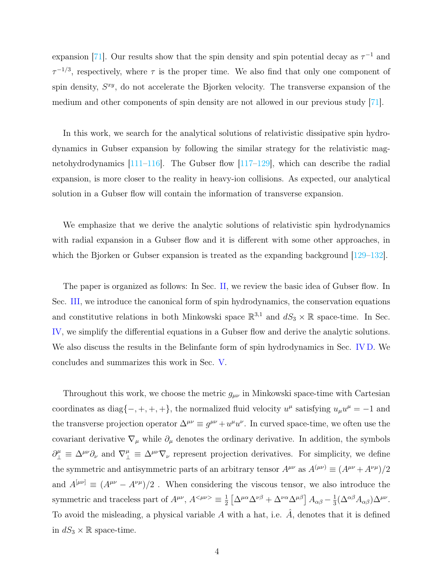expansion [\[71\]](#page-27-0). Our results show that the spin density and spin potential decay as  $\tau^{-1}$  and  $\tau^{-1/3}$ , respectively, where  $\tau$  is the proper time. We also find that only one component of spin density,  $S^{xy}$ , do not accelerate the Bjorken velocity. The transverse expansion of the medium and other components of spin density are not allowed in our previous study [\[71\]](#page-27-0).

In this work, we search for the analytical solutions of relativistic dissipative spin hydrodynamics in Gubser expansion by following the similar strategy for the relativistic magnetohydrodynamics  $[111-116]$  $[111-116]$ . The Gubser flow  $[117-129]$  $[117-129]$ , which can describe the radial expansion, is more closer to the reality in heavy-ion collisions. As expected, our analytical solution in a Gubser flow will contain the information of transverse expansion.

We emphasize that we derive the analytic solutions of relativistic spin hydrodynamics with radial expansion in a Gubser flow and it is different with some other approaches, in which the Bjorken or Gubser expansion is treated as the expanding background  $[129-132]$  $[129-132]$ .

The paper is organized as follows: In Sec. [II,](#page-4-0) we review the basic idea of Gubser flow. In Sec. [III,](#page-5-0) we introduce the canonical form of spin hydrodynamics, the conservation equations and constitutive relations in both Minkowski space  $\mathbb{R}^{3,1}$  and  $dS_3 \times \mathbb{R}$  space-time. In Sec. [IV,](#page-10-0) we simplify the differential equations in a Gubser flow and derive the analytic solutions. We also discuss the results in the Belinfante form of spin hydrodynamics in Sec. [IV D.](#page-20-0) We concludes and summarizes this work in Sec. [V.](#page-22-0)

Throughout this work, we choose the metric  $g_{\mu\nu}$  in Minkowski space-time with Cartesian coordinates as diag $\{-, +, +, +\}$ , the normalized fluid velocity  $u^{\mu}$  satisfying  $u_{\mu}u^{\mu} = -1$  and the transverse projection operator  $\Delta^{\mu\nu} \equiv g^{\mu\nu} + u^{\mu}u^{\nu}$ . In curved space-time, we often use the covariant derivative  $\nabla_{\mu}$  while  $\partial_{\mu}$  denotes the ordinary derivative. In addition, the symbols  $\partial_{\perp}^{\mu} \equiv \Delta^{\mu\nu}\partial_{\nu}$  and  $\nabla_{\perp}^{\mu} \equiv \Delta^{\mu\nu}\nabla_{\nu}$  represent projection derivatives. For simplicity, we define the symmetric and antisymmetric parts of an arbitrary tensor  $A^{\mu\nu}$  as  $A^{(\mu\nu)} \equiv (A^{\mu\nu} + A^{\nu\mu})/2$ and  $A^{[\mu\nu]} \equiv (A^{\mu\nu} - A^{\nu\mu})/2$ . When considering the viscous tensor, we also introduce the symmetric and traceless part of  $A^{\mu\nu}$ ,  $A^{<\mu\nu>} \equiv \frac{1}{2}$  $\frac{1}{2}\left[\Delta^{\mu\alpha}\Delta^{\nu\beta} + \Delta^{\nu\alpha}\Delta^{\mu\beta}\right]A_{\alpha\beta} - \frac{1}{3}$  $\frac{1}{3}(\Delta^{\alpha\beta}A_{\alpha\beta})\Delta^{\mu\nu}.$ To avoid the misleading, a physical variable  $A$  with a hat, i.e.  $\ddot{A}$ , denotes that it is defined in  $dS_3 \times \mathbb{R}$  space-time.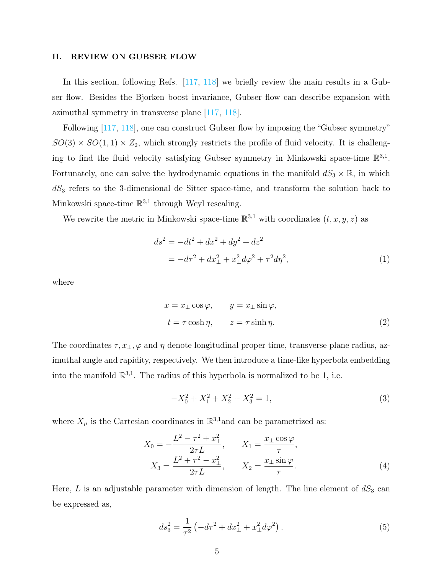#### <span id="page-4-0"></span>II. REVIEW ON GUBSER FLOW

In this section, following Refs. [\[117,](#page-29-5) [118\]](#page-29-8) we briefly review the main results in a Gubser flow. Besides the Bjorken boost invariance, Gubser flow can describe expansion with azimuthal symmetry in transverse plane [\[117,](#page-29-5) [118\]](#page-29-8).

Following [\[117,](#page-29-5) [118\]](#page-29-8), one can construct Gubser flow by imposing the "Gubser symmetry"  $SO(3) \times SO(1,1) \times Z_2$ , which strongly restricts the profile of fluid velocity. It is challenging to find the fluid velocity satisfying Gubser symmetry in Minkowski space-time  $\mathbb{R}^{3,1}$ . Fortunately, one can solve the hydrodynamic equations in the manifold  $dS_3 \times \mathbb{R}$ , in which  $dS_3$  refers to the 3-dimensional de Sitter space-time, and transform the solution back to Minkowski space-time  $\mathbb{R}^{3,1}$  through Weyl rescaling.

We rewrite the metric in Minkowski space-time  $\mathbb{R}^{3,1}$  with coordinates  $(t, x, y, z)$  as

<span id="page-4-1"></span>
$$
ds^{2} = -dt^{2} + dx^{2} + dy^{2} + dz^{2}
$$
  
= 
$$
-d\tau^{2} + dx_{\perp}^{2} + x_{\perp}^{2}d\varphi^{2} + \tau^{2}d\eta^{2},
$$
 (1)

where

<span id="page-4-3"></span>
$$
x = x_{\perp} \cos \varphi, \qquad y = x_{\perp} \sin \varphi,
$$
  

$$
t = \tau \cosh \eta, \qquad z = \tau \sinh \eta.
$$
 (2)

The coordinates  $\tau, x_{\perp}, \varphi$  and  $\eta$  denote longitudinal proper time, transverse plane radius, azimuthal angle and rapidity, respectively. We then introduce a time-like hyperbola embedding into the manifold  $\mathbb{R}^{3,1}$ . The radius of this hyperbola is normalized to be 1, i.e.

$$
-X_0^2 + X_1^2 + X_2^2 + X_3^2 = 1,
$$
\n(3)

where  $X_{\mu}$  is the Cartesian coordinates in  $\mathbb{R}^{3,1}$  and can be parametrized as:

<span id="page-4-2"></span>
$$
X_0 = -\frac{L^2 - \tau^2 + x_\perp^2}{2\tau L}, \qquad X_1 = \frac{x_\perp \cos \varphi}{\tau},
$$
  

$$
X_3 = \frac{L^2 + \tau^2 - x_\perp^2}{2\tau L}, \qquad X_2 = \frac{x_\perp \sin \varphi}{\tau}.
$$
 (4)

Here,  $L$  is an adjustable parameter with dimension of length. The line element of  $dS_3$  can be expressed as,

$$
ds_3^2 = \frac{1}{\tau^2} \left( -d\tau^2 + dx_\perp^2 + x_\perp^2 d\varphi^2 \right). \tag{5}
$$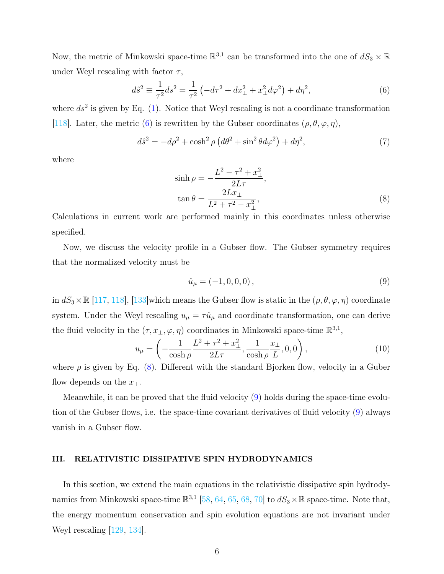Now, the metric of Minkowski space-time  $\mathbb{R}^{3,1}$  can be transformed into the one of  $dS_3 \times \mathbb{R}$ under Weyl rescaling with factor  $\tau$ ,

<span id="page-5-1"></span>
$$
d\hat{s}^2 \equiv \frac{1}{\tau^2} ds^2 = \frac{1}{\tau^2} \left( -d\tau^2 + dx_\perp^2 + x_\perp^2 d\varphi^2 \right) + d\eta^2,\tag{6}
$$

where  $ds^2$  is given by Eq. [\(1\)](#page-4-1). Notice that Weyl rescaling is not a coordinate transformation [\[118\]](#page-29-8). Later, the metric [\(6\)](#page-5-1) is rewritten by the Gubser coordinates  $(\rho, \theta, \varphi, \eta)$ ,

$$
d\hat{s}^2 = -d\rho^2 + \cosh^2\rho \left(d\theta^2 + \sin^2\theta d\varphi^2\right) + d\eta^2,\tag{7}
$$

where

<span id="page-5-2"></span>
$$
\sinh \rho = -\frac{L^2 - \tau^2 + x_\perp^2}{2L\tau},
$$
  
\n
$$
\tan \theta = \frac{2Lx_\perp}{L^2 + \tau^2 - x_\perp^2},
$$
\n(8)

Calculations in current work are performed mainly in this coordinates unless otherwise specified.

Now, we discuss the velocity profile in a Gubser flow. The Gubser symmetry requires that the normalized velocity must be

<span id="page-5-3"></span>
$$
\hat{u}_{\mu} = (-1, 0, 0, 0),\tag{9}
$$

in  $dS_3 \times \mathbb{R}$  [\[117,](#page-29-5) [118\]](#page-29-8), [\[133\]](#page-29-9)which means the Gubser flow is static in the  $(\rho, \theta, \varphi, \eta)$  coordinate system. Under the Weyl rescaling  $u_{\mu} = \tau \hat{u}_{\mu}$  and coordinate transformation, one can derive the fluid velocity in the  $(\tau, x_{\perp}, \varphi, \eta)$  coordinates in Minkowski space-time  $\mathbb{R}^{3,1}$ ,

<span id="page-5-4"></span>
$$
u_{\mu} = \left(-\frac{1}{\cosh \rho} \frac{L^2 + \tau^2 + x_{\perp}^2}{2L\tau}, \frac{1}{\cosh \rho} \frac{x_{\perp}}{L}, 0, 0\right),\tag{10}
$$

where  $\rho$  is given by Eq. [\(8\)](#page-5-2). Different with the standard Bjorken flow, velocity in a Guber flow depends on the  $x_{\perp}$ .

Meanwhile, it can be proved that the fluid velocity [\(9\)](#page-5-3) holds during the space-time evolution of the Gubser flows, i.e. the space-time covariant derivatives of fluid velocity [\(9\)](#page-5-3) always vanish in a Gubser flow.

## <span id="page-5-0"></span>III. RELATIVISTIC DISSIPATIVE SPIN HYDRODYNAMICS

In this section, we extend the main equations in the relativistic dissipative spin hydrodynamics from Minkowski space-time  $\mathbb{R}^{3,1}$  [\[58,](#page-26-6) [64,](#page-27-13) [65,](#page-27-14) [68,](#page-27-16) [70\]](#page-27-17) to  $dS_3 \times \mathbb{R}$  space-time. Note that, the energy momentum conservation and spin evolution equations are not invariant under Weyl rescaling [\[129,](#page-29-6) [134\]](#page-29-10).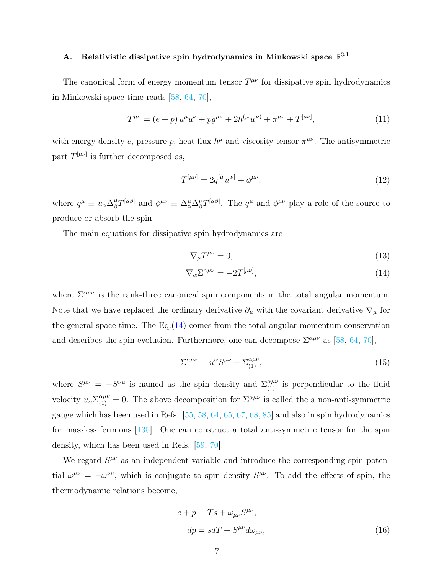# <span id="page-6-2"></span>A. Relativistic dissipative spin hydrodynamics in Minkowski space  $\mathbb{R}^{3,1}$

The canonical form of energy momentum tensor  $T^{\mu\nu}$  for dissipative spin hydrodynamics in Minkowski space-time reads [\[58,](#page-26-6) [64,](#page-27-13) [70\]](#page-27-17),

<span id="page-6-1"></span>
$$
T^{\mu\nu} = (e+p) u^{\mu} u^{\nu} + p g^{\mu\nu} + 2h^{(\mu} u^{\nu)} + \pi^{\mu\nu} + T^{[\mu\nu]}, \tag{11}
$$

with energy density e, pressure p, heat flux  $h^{\mu}$  and viscosity tensor  $\pi^{\mu\nu}$ . The antisymmetric part  $T^{[\mu\nu]}$  is further decomposed as,

<span id="page-6-3"></span>
$$
T^{[\mu\nu]} = 2q^{[\mu}u^{\nu]} + \phi^{\mu\nu},\tag{12}
$$

where  $q^{\mu} \equiv u_{\alpha} \Delta_{\beta}^{\mu} T^{[\alpha\beta]}$  and  $\phi^{\mu\nu} \equiv \Delta_{\alpha}^{\mu} \Delta_{\beta}^{\nu} T^{[\alpha\beta]}$ . The  $q^{\mu}$  and  $\phi^{\mu\nu}$  play a role of the source to produce or absorb the spin.

The main equations for dissipative spin hydrodynamics are

<span id="page-6-0"></span>
$$
\nabla_{\mu}T^{\mu\nu} = 0,\tag{13}
$$

$$
\nabla_{\alpha} \Sigma^{\alpha \mu \nu} = -2T^{[\mu \nu]},\tag{14}
$$

where  $\Sigma^{\alpha\mu\nu}$  is the rank-three canonical spin components in the total angular momentum. Note that we have replaced the ordinary derivative  $\partial_{\mu}$  with the covariant derivative  $\nabla_{\mu}$  for the general space-time. The Eq.[\(14\)](#page-6-0) comes from the total angular momentum conservation and describes the spin evolution. Furthermore, one can decompose  $\Sigma^{\alpha\mu\nu}$  as [\[58,](#page-26-6) [64,](#page-27-13) [70\]](#page-27-17),

<span id="page-6-5"></span>
$$
\Sigma^{\alpha\mu\nu} = u^{\alpha} S^{\mu\nu} + \Sigma^{\alpha\mu\nu}_{(1)},\tag{15}
$$

where  $S^{\mu\nu} = -S^{\nu\mu}$  is named as the spin density and  $\Sigma_{(1)}^{\alpha\mu\nu}$  is perpendicular to the fluid velocity  $u_{\alpha} \Sigma_{(1)}^{\alpha\mu\nu} = 0$ . The above decomposition for  $\Sigma^{\alpha\mu\nu}$  is called the a non-anti-symmetric gauge which has been used in Refs. [\[55,](#page-26-5) [58,](#page-26-6) [64,](#page-27-13) [65,](#page-27-14) [67,](#page-27-15) [68,](#page-27-16) [85\]](#page-27-11) and also in spin hydrodynamics for massless fermions [\[135\]](#page-30-0). One can construct a total anti-symmetric tensor for the spin density, which has been used in Refs. [\[59,](#page-26-9) [70\]](#page-27-17).

We regard  $S^{\mu\nu}$  as an independent variable and introduce the corresponding spin potential  $\omega^{\mu\nu} = -\omega^{\nu\mu}$ , which is conjugate to spin density  $S^{\mu\nu}$ . To add the effects of spin, the thermodynamic relations become,

<span id="page-6-4"></span>
$$
e + p = Ts + \omega_{\mu\nu} S^{\mu\nu},
$$
  
\n
$$
dp = sdT + S^{\mu\nu} d\omega_{\mu\nu},
$$
\n(16)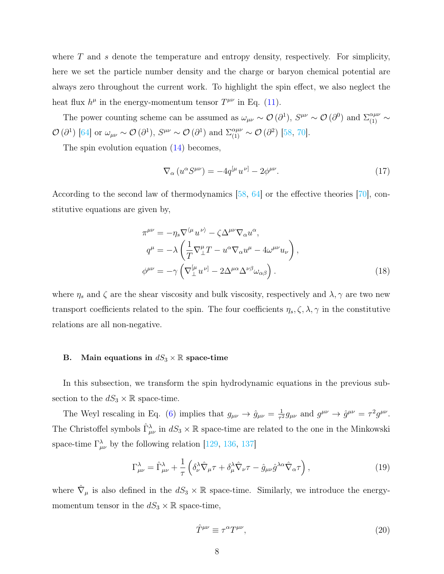where  $T$  and  $s$  denote the temperature and entropy density, respectively. For simplicity, here we set the particle number density and the charge or baryon chemical potential are always zero throughout the current work. To highlight the spin effect, we also neglect the heat flux  $h^{\mu}$  in the energy-momentum tensor  $T^{\mu\nu}$  in Eq. [\(11\)](#page-6-1).

The power counting scheme can be assumed as  $\omega_{\mu\nu} \sim \mathcal{O}(\partial^1)$ ,  $S^{\mu\nu} \sim \mathcal{O}(\partial^0)$  and  $\Sigma_{(1)}^{\alpha\mu\nu} \sim$  $\mathcal{O}(\partial^1)$  [\[64\]](#page-27-13) or  $\omega_{\mu\nu} \sim \mathcal{O}(\partial^1)$ ,  $S^{\mu\nu} \sim \mathcal{O}(\partial^1)$  and  $\Sigma_{(1)}^{\alpha\mu\nu} \sim \mathcal{O}(\partial^2)$  [\[58,](#page-26-6) [70\]](#page-27-17).

The spin evolution equation  $(14)$  becomes,

<span id="page-7-0"></span>
$$
\nabla_{\alpha} \left( u^{\alpha} S^{\mu \nu} \right) = -4q^{[\mu} u^{\nu]} - 2\phi^{\mu \nu}.
$$
 (17)

According to the second law of thermodynamics [\[58,](#page-26-6) [64\]](#page-27-13) or the effective theories [\[70\]](#page-27-17), constitutive equations are given by,

<span id="page-7-2"></span>
$$
\pi^{\mu\nu} = -\eta_s \nabla^{\langle \mu} u^{\nu \rangle} - \zeta \Delta^{\mu\nu} \nabla_\alpha u^\alpha,
$$
  
\n
$$
q^{\mu} = -\lambda \left( \frac{1}{T} \nabla^{\mu}_{\perp} T - u^\alpha \nabla_\alpha u^{\mu} - 4\omega^{\mu\nu} u_{\nu} \right),
$$
  
\n
$$
\phi^{\mu\nu} = -\gamma \left( \nabla^{\left[ \mu \right]}_{\perp} u^{\nu \left[ \right]} - 2\Delta^{\mu\alpha} \Delta^{\nu\beta} \omega_{\alpha\beta} \right).
$$
\n(18)

where  $\eta_s$  and  $\zeta$  are the shear viscosity and bulk viscosity, respectively and  $\lambda$ ,  $\gamma$  are two new transport coefficients related to the spin. The four coefficients  $\eta_s, \zeta, \lambda, \gamma$  in the constitutive relations are all non-negative.

## <span id="page-7-3"></span>B. Main equations in  $dS_3 \times \mathbb{R}$  space-time

In this subsection, we transform the spin hydrodynamic equations in the previous subsection to the  $dS_3 \times \mathbb{R}$  space-time.

The Weyl rescaling in Eq. [\(6\)](#page-5-1) implies that  $g_{\mu\nu} \to \hat{g}_{\mu\nu} = \frac{1}{\tau^2}$  $\frac{1}{\tau^2} g_{\mu\nu}$  and  $g^{\mu\nu} \to \hat{g}^{\mu\nu} = \tau^2 g^{\mu\nu}$ . The Christoffel symbols  $\hat{\Gamma}^{\lambda}_{\mu\nu}$  in  $dS_3 \times \mathbb{R}$  space-time are related to the one in the Minkowski space-time  $\Gamma_{\mu\nu}^{\lambda}$  by the following relation [\[129,](#page-29-6) [136,](#page-30-1) [137\]](#page-30-2)

<span id="page-7-1"></span>
$$
\Gamma^{\lambda}_{\mu\nu} = \hat{\Gamma}^{\lambda}_{\mu\nu} + \frac{1}{\tau} \left( \delta^{\lambda}_{\nu} \hat{\nabla}_{\mu} \tau + \delta^{\lambda}_{\mu} \hat{\nabla}_{\nu} \tau - \hat{g}_{\mu\nu} \hat{g}^{\lambda \alpha} \hat{\nabla}_{\alpha} \tau \right), \tag{19}
$$

where  $\hat{\nabla}_{\mu}$  is also defined in the  $dS_3 \times \mathbb{R}$  space-time. Similarly, we introduce the energymomentum tensor in the  $dS_3 \times \mathbb{R}$  space-time,

$$
\hat{T}^{\mu\nu} \equiv \tau^{\alpha} T^{\mu\nu},\tag{20}
$$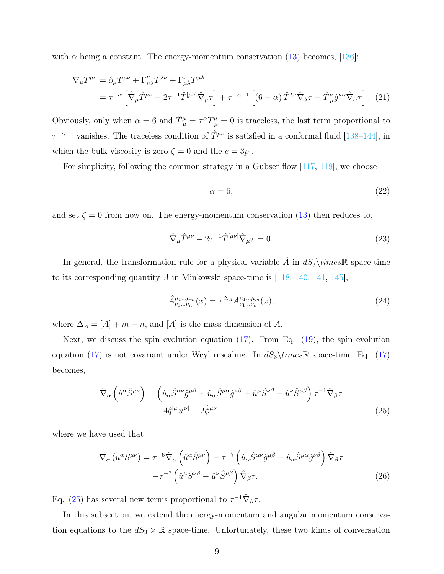with  $\alpha$  being a constant. The energy-momentum conservation [\(13\)](#page-6-0) becomes, [\[136\]](#page-30-1):

$$
\nabla_{\mu}T^{\mu\nu} = \partial_{\mu}T^{\mu\nu} + \Gamma^{\mu}_{\mu\lambda}T^{\lambda\nu} + \Gamma^{\nu}_{\mu\lambda}T^{\mu\lambda} \n= \tau^{-\alpha} \left[ \hat{\nabla}_{\mu}\hat{T}^{\mu\nu} - 2\tau^{-1}\hat{T}^{[\mu\nu]}\hat{\nabla}_{\mu}\tau \right] + \tau^{-\alpha-1} \left[ (6-\alpha)\,\hat{T}^{\lambda\nu}\hat{\nabla}_{\lambda}\tau - \hat{T}^{\mu}_{\mu}\hat{g}^{\nu\alpha}\hat{\nabla}_{\alpha}\tau \right].
$$
\n(21)

Obviously, only when  $\alpha = 6$  and  $\hat{T}^{\mu}_{\mu} = \tau^{\alpha} T^{\mu}_{\mu} = 0$  is traceless, the last term proportional to  $\tau^{-\alpha-1}$  vanishes. The traceless condition of  $\hat{T}^{\mu\nu}$  is satisfied in a conformal fluid [\[138–](#page-30-3)[144\]](#page-30-4), in which the bulk viscosity is zero  $\zeta=0$  and the  $e=3p$  .

For simplicity, following the common strategy in a Gubser flow [\[117,](#page-29-5) [118\]](#page-29-8), we choose

$$
\alpha = 6,\tag{22}
$$

and set  $\zeta = 0$  from now on. The energy-momentum conservation [\(13\)](#page-6-0) then reduces to,

<span id="page-8-1"></span>
$$
\hat{\nabla}_{\mu}\hat{T}^{\mu\nu} - 2\tau^{-1}\hat{T}^{[\mu\nu]}\hat{\nabla}_{\mu}\tau = 0.
$$
\n(23)

In general, the transformation rule for a physical variable A in  $dS_3\times\mathbb{R}$  space-time to its corresponding quantity A in Minkowski space-time is  $\left|118, 140, 141, 145\right|$  $\left|118, 140, 141, 145\right|$  $\left|118, 140, 141, 145\right|$  $\left|118, 140, 141, 145\right|$  $\left|118, 140, 141, 145\right|$ ,

<span id="page-8-2"></span>
$$
\hat{A}^{\mu_1...\mu_m}_{\nu_1...\nu_n}(x) = \tau^{\Delta_A} A^{\mu_1...\mu_m}_{\nu_1...\nu_n}(x),\tag{24}
$$

where  $\Delta_A = [A] + m - n$ , and  $[A]$  is the mass dimension of A.

Next, we discuss the spin evolution equation [\(17\)](#page-7-0). From Eq. [\(19\)](#page-7-1), the spin evolution equation [\(17\)](#page-7-0) is not covariant under Weyl rescaling. In  $dS_3\times\mathbb{R}$  space-time, Eq. (17) becomes,

<span id="page-8-0"></span>
$$
\hat{\nabla}_{\alpha} \left( \hat{u}^{\alpha} \hat{S}^{\mu \nu} \right) = \left( \hat{u}_{\alpha} \hat{S}^{\alpha \nu} \hat{g}^{\mu \beta} + \hat{u}_{\alpha} \hat{S}^{\mu \alpha} \hat{g}^{\nu \beta} + \hat{u}^{\mu} \hat{S}^{\nu \beta} - \hat{u}^{\nu} \hat{S}^{\mu \beta} \right) \tau^{-1} \hat{\nabla}_{\beta} \tau -4 \hat{q}^{[\mu} \hat{u}^{\nu]} - 2 \hat{\phi}^{\mu \nu}.
$$
\n(25)

where we have used that

$$
\nabla_{\alpha} (u^{\alpha} S^{\mu\nu}) = \tau^{-6} \hat{\nabla}_{\alpha} \left( \hat{u}^{\alpha} \hat{S}^{\mu\nu} \right) - \tau^{-7} \left( \hat{u}_{\alpha} \hat{S}^{\alpha\nu} \hat{g}^{\mu\beta} + \hat{u}_{\alpha} \hat{S}^{\mu\alpha} \hat{g}^{\nu\beta} \right) \hat{\nabla}_{\beta} \tau - \tau^{-7} \left( \hat{u}^{\mu} \hat{S}^{\nu\beta} - \hat{u}^{\nu} \hat{S}^{\mu\beta} \right) \hat{\nabla}_{\beta} \tau.
$$
 (26)

Eq. [\(25\)](#page-8-0) has several new terms proportional to  $\tau^{-1} \hat{\nabla}_{\beta} \tau$ .

In this subsection, we extend the energy-momentum and angular momentum conservation equations to the  $dS_3 \times \mathbb{R}$  space-time. Unfortunately, these two kinds of conversation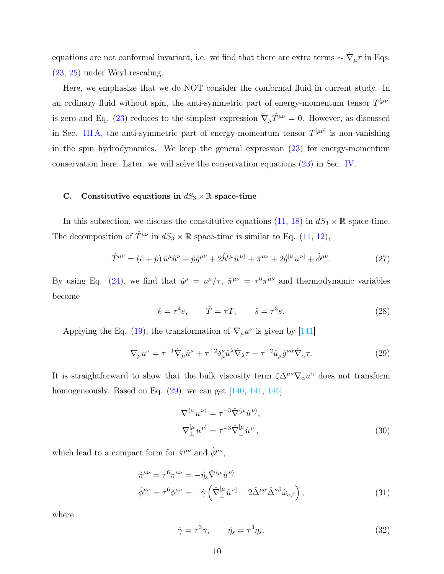equations are not conformal invariant, i.e. we find that there are extra terms  $\sim \hat{\nabla}_{\mu} \tau$  in Eqs. [\(23,](#page-8-1) [25\)](#page-8-0) under Weyl rescaling.

Here, we emphasize that we do NOT consider the conformal fluid in current study. In an ordinary fluid without spin, the anti-symmetric part of energy-momentum tensor  $T^{[\mu\nu]}$ is zero and Eq. [\(23\)](#page-8-1) reduces to the simplest expression  $\hat{\nabla}_{\mu}\hat{T}^{\mu\nu} = 0$ . However, as discussed in Sec. [III A,](#page-6-2) the anti-symmetric part of energy-momentum tensor  $T^{[\mu\nu]}$  is non-vanishing in the spin hydrodynamics. We keep the general expression  $(23)$  for energy-momentum conservation here. Later, we will solve the conservation equations [\(23\)](#page-8-1) in Sec. [IV.](#page-10-0)

## C. Constitutive equations in  $dS_3 \times \mathbb{R}$  space-time

In this subsection, we discuss the constitutive equations [\(11,](#page-6-1) [18\)](#page-7-2) in  $dS_3 \times \mathbb{R}$  space-time. The decomposition of  $\hat{T}^{\mu\nu}$  in  $dS_3 \times \mathbb{R}$  space-time is similar to Eq. [\(11,](#page-6-1) [12\)](#page-6-3),

<span id="page-9-1"></span>
$$
\hat{T}^{\mu\nu} = (\hat{e} + \hat{p})\,\hat{u}^{\mu}\hat{u}^{\nu} + \hat{p}\hat{g}^{\mu\nu} + 2\hat{h}^{(\mu}\hat{u}^{\nu)} + \hat{\pi}^{\mu\nu} + 2\hat{q}^{[\mu}\hat{u}^{\nu]} + \hat{\phi}^{\mu\nu}.\tag{27}
$$

By using Eq. [\(24\)](#page-8-2), we find that  $\hat{u}^{\mu} = u^{\mu}/\tau$ ,  $\hat{\pi}^{\mu\nu} = \tau^6 \pi^{\mu\nu}$  and thermodynamic variables become

<span id="page-9-3"></span>
$$
\hat{e} = \tau^4 e, \qquad \hat{T} = \tau T, \qquad \hat{s} = \tau^3 s. \tag{28}
$$

Applying the Eq. [\(19\)](#page-7-1), the transformation of  $\nabla_{\mu}u^{\nu}$  is given by [\[141\]](#page-30-6)

<span id="page-9-0"></span>
$$
\nabla_{\mu}u^{\nu} = \tau^{-1}\hat{\nabla}_{\mu}\hat{u}^{\nu} + \tau^{-2}\delta_{\mu}^{\nu}\hat{u}^{\lambda}\hat{\nabla}_{\lambda}\tau - \tau^{-2}\hat{u}_{\mu}\hat{g}^{\nu\alpha}\hat{\nabla}_{\alpha}\tau.
$$
\n(29)

It is straightforward to show that the bulk viscosity term  $\zeta \Delta^{\mu\nu} \nabla_\alpha u^\alpha$  does not transform homogeneously. Based on Eq.  $(29)$ , we can get  $[140, 141, 145]$  $[140, 141, 145]$  $[140, 141, 145]$  $[140, 141, 145]$  $[140, 141, 145]$ 

$$
\nabla^{\langle \mu} u^{\nu \rangle} = \tau^{-3} \hat{\nabla}^{\langle \mu} \hat{u}^{\nu \rangle},
$$
  
\n
$$
\nabla_{\perp}^{[\mu} u^{\nu]} = \tau^{-3} \hat{\nabla}_{\perp}^{[\mu} \hat{u}^{\nu]},
$$
\n(30)

which lead to a compact form for  $\hat{\pi}^{\mu\nu}$  and  $\hat{\phi}^{\mu\nu}$ ,

<span id="page-9-2"></span>
$$
\hat{\pi}^{\mu\nu} = \tau^6 \pi^{\mu\nu} = -\hat{\eta}_s \hat{\nabla}^{\langle \mu} \hat{u}^{\nu \rangle} \n\hat{\phi}^{\mu\nu} = \tau^6 \phi^{\mu\nu} = -\hat{\gamma} \left( \hat{\nabla}^{[\mu}_\perp \hat{u}^{\nu]} - 2 \hat{\Delta}^{\mu\alpha} \hat{\Delta}^{\nu\beta} \hat{\omega}_{\alpha\beta} \right),
$$
\n(31)

where

$$
\hat{\gamma} = \tau^3 \gamma, \qquad \hat{\eta}_s = \tau^3 \eta_s. \tag{32}
$$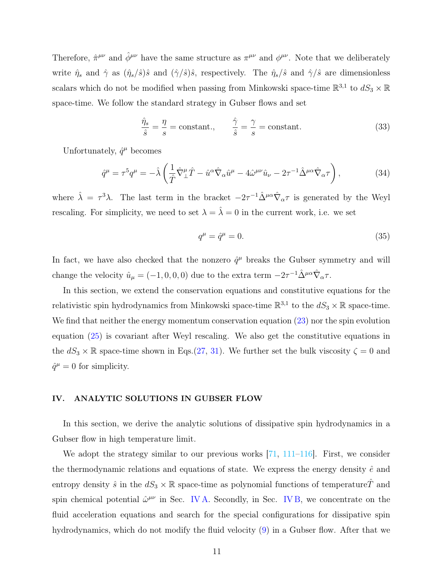Therefore,  $\hat{\pi}^{\mu\nu}$  and  $\hat{\phi}^{\mu\nu}$  have the same structure as  $\pi^{\mu\nu}$  and  $\phi^{\mu\nu}$ . Note that we deliberately write  $\hat{\eta}_s$  and  $\hat{\gamma}$  as  $(\hat{\eta}_s/\hat{s})\hat{s}$  and  $(\hat{\gamma}/\hat{s})\hat{s}$ , respectively. The  $\hat{\eta}_s/\hat{s}$  and  $\hat{\gamma}/\hat{s}$  are dimensionless scalars which do not be modified when passing from Minkowski space-time  $\mathbb{R}^{3,1}$  to  $dS_3 \times \mathbb{R}$ space-time. We follow the standard strategy in Gubser flows and set

$$
\frac{\hat{\eta}_s}{\hat{s}} = \frac{\eta}{s} = \text{constant}, \qquad \frac{\hat{\gamma}}{\hat{s}} = \frac{\gamma}{s} = \text{constant.}
$$
\n(33)

Unfortunately,  $\hat{q}^{\mu}$  becomes

$$
\hat{q}^{\mu} = \tau^5 q^{\mu} = -\hat{\lambda} \left( \frac{1}{\hat{T}} \hat{\nabla}_{\perp}^{\mu} \hat{T} - \hat{u}^{\alpha} \hat{\nabla}_{\alpha} \hat{u}^{\mu} - 4 \hat{\omega}^{\mu \nu} \hat{u}_{\nu} - 2\tau^{-1} \hat{\Delta}^{\mu \alpha} \hat{\nabla}_{\alpha} \tau \right),\tag{34}
$$

where  $\hat{\lambda} = \tau^3 \lambda$ . The last term in the bracket  $-2\tau^{-1} \hat{\Delta}^{\mu \alpha} \hat{\nabla}_{\alpha} \tau$  is generated by the Weyl rescaling. For simplicity, we need to set  $\lambda = \hat{\lambda} = 0$  in the current work, i.e. we set

$$
q^{\mu} = \hat{q}^{\mu} = 0. \tag{35}
$$

In fact, we have also checked that the nonzero  $\hat{q}^{\mu}$  breaks the Gubser symmetry and will change the velocity  $\hat{u}_{\mu} = (-1, 0, 0, 0)$  due to the extra term  $-2\tau^{-1}\hat{\Delta}^{\mu\alpha}\hat{\nabla}_{\alpha}\tau$ .

In this section, we extend the conservation equations and constitutive equations for the relativistic spin hydrodynamics from Minkowski space-time  $\mathbb{R}^{3,1}$  to the  $dS_3 \times \mathbb{R}$  space-time. We find that neither the energy momentum conservation equation  $(23)$  nor the spin evolution equation [\(25\)](#page-8-0) is covariant after Weyl rescaling. We also get the constitutive equations in the  $dS_3 \times \mathbb{R}$  space-time shown in Eqs.[\(27,](#page-9-1) [31\)](#page-9-2). We further set the bulk viscosity  $\zeta = 0$  and  $\hat{q}^{\mu} = 0$  for simplicity.

## <span id="page-10-0"></span>IV. ANALYTIC SOLUTIONS IN GUBSER FLOW

In this section, we derive the analytic solutions of dissipative spin hydrodynamics in a Gubser flow in high temperature limit.

We adopt the strategy similar to our previous works [\[71,](#page-27-0) [111–](#page-29-3)[116\]](#page-29-4). First, we consider the thermodynamic relations and equations of state. We express the energy density  $\hat{e}$  and entropy density  $\hat{s}$  in the  $dS_3 \times \mathbb{R}$  space-time as polynomial functions of temperature $\hat{T}$  and spin chemical potential  $\hat{\omega}^{\mu\nu}$  in Sec. [IV A.](#page-11-0) Secondly, in Sec. [IV B,](#page-12-0) we concentrate on the fluid acceleration equations and search for the special configurations for dissipative spin hydrodynamics, which do not modify the fluid velocity [\(9\)](#page-5-3) in a Gubser flow. After that we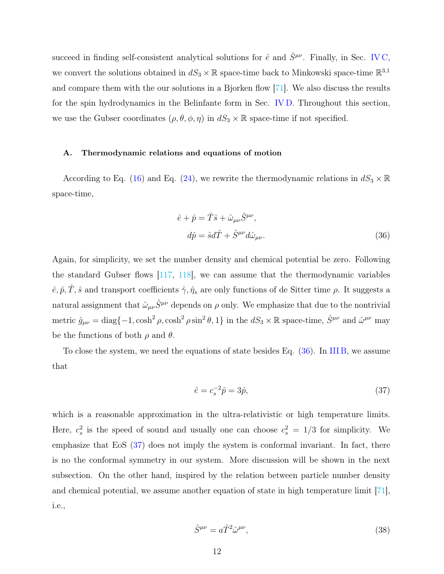succeed in finding self-consistent analytical solutions for  $\hat{e}$  and  $\hat{S}^{\mu\nu}$ . Finally, in Sec. [IV C,](#page-14-0) we convert the solutions obtained in  $dS_3 \times \mathbb{R}$  space-time back to Minkowski space-time  $\mathbb{R}^{3,1}$ and compare them with the our solutions in a Bjorken flow [\[71\]](#page-27-0). We also discuss the results for the spin hydrodynamics in the Belinfante form in Sec. [IV D.](#page-20-0) Throughout this section, we use the Gubser coordinates  $(\rho, \theta, \phi, \eta)$  in  $dS_3 \times \mathbb{R}$  space-time if not specified.

#### <span id="page-11-0"></span>A. Thermodynamic relations and equations of motion

According to Eq. [\(16\)](#page-6-4) and Eq. [\(24\)](#page-8-2), we rewrite the thermodynamic relations in  $dS_3 \times \mathbb{R}$ space-time,

<span id="page-11-1"></span>
$$
\hat{e} + \hat{p} = \hat{T}\hat{s} + \hat{\omega}_{\mu\nu}\hat{S}^{\mu\nu},
$$
  
\n
$$
d\hat{p} = \hat{s}d\hat{T} + \hat{S}^{\mu\nu}d\hat{\omega}_{\mu\nu}.
$$
\n(36)

Again, for simplicity, we set the number density and chemical potential be zero. Following the standard Gubser flows [\[117,](#page-29-5) [118\]](#page-29-8), we can assume that the thermodynamic variables  $\hat{e}, \hat{p}, \hat{T}, \hat{s}$  and transport coefficients  $\hat{\gamma}, \hat{\eta}_s$  are only functions of de Sitter time  $\rho$ . It suggests a natural assignment that  $\hat{\omega}_{\mu\nu}\hat{S}^{\mu\nu}$  depends on  $\rho$  only. We emphasize that due to the nontrivial metric  $\hat{g}_{\mu\nu} = \text{diag}\{-1, \cosh^2 \rho, \cosh^2 \rho \sin^2 \theta, 1\}$  in the  $dS_3 \times \mathbb{R}$  space-time,  $\hat{S}^{\mu\nu}$  and  $\hat{\omega}^{\mu\nu}$  may be the functions of both  $\rho$  and  $\theta$ .

To close the system, we need the equations of state besides Eq. [\(36\)](#page-11-1). In [III B,](#page-7-3) we assume that

<span id="page-11-2"></span>
$$
\hat{e} = c_s^{-2} \hat{p} = 3\hat{p},\tag{37}
$$

which is a reasonable approximation in the ultra-relativistic or high temperature limits. Here,  $c_s^2$  is the speed of sound and usually one can choose  $c_s^2 = 1/3$  for simplicity. We emphasize that EoS [\(37\)](#page-11-2) does not imply the system is conformal invariant. In fact, there is no the conformal symmetry in our system. More discussion will be shown in the next subsection. On the other hand, inspired by the relation between particle number density and chemical potential, we assume another equation of state in high temperature limit [\[71\]](#page-27-0), i.e.,

<span id="page-11-3"></span>
$$
\hat{S}^{\mu\nu} = a\hat{T}^2 \hat{\omega}^{\mu\nu},\tag{38}
$$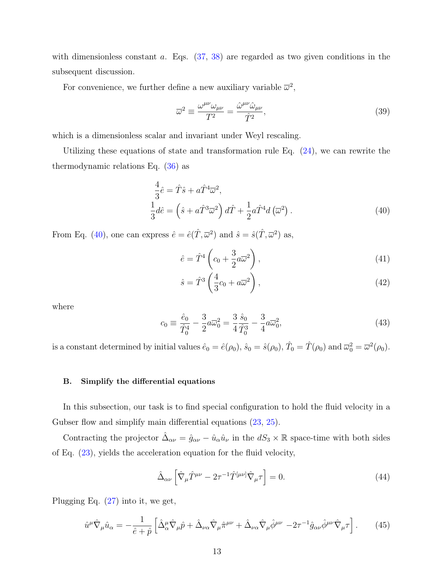with dimensionless constant a. Eqs.  $(37, 38)$  $(37, 38)$  $(37, 38)$  are regarded as two given conditions in the subsequent discussion.

For convenience, we further define a new auxiliary variable  $\bar{\omega}^2$ ,

<span id="page-12-4"></span>
$$
\overline{\omega}^2 \equiv \frac{\omega^{\mu\nu}\omega_{\mu\nu}}{T^2} = \frac{\hat{\omega}^{\mu\nu}\hat{\omega}_{\mu\nu}}{\hat{T}^2},\tag{39}
$$

which is a dimensionless scalar and invariant under Weyl rescaling.

Utilizing these equations of state and transformation rule Eq.  $(24)$ , we can rewrite the thermodynamic relations Eq. [\(36\)](#page-11-1) as

<span id="page-12-1"></span>
$$
\frac{4}{3}\hat{e} = \hat{T}\hat{s} + a\hat{T}^4\overline{\omega}^2,
$$
  
\n
$$
\frac{1}{3}d\hat{e} = \left(\hat{s} + a\hat{T}^3\overline{\omega}^2\right)d\hat{T} + \frac{1}{2}a\hat{T}^4d\left(\overline{\omega}^2\right).
$$
\n(40)

From Eq. [\(40\)](#page-12-1), one can express  $\hat{e} = \hat{e}(\hat{T}, \overline{\omega}^2)$  and  $\hat{s} = \hat{s}(\hat{T}, \overline{\omega}^2)$  as,

<span id="page-12-3"></span>
$$
\hat{e} = \hat{T}^4 \left( c_0 + \frac{3}{2} a \overline{\omega}^2 \right),\tag{41}
$$

$$
\hat{s} = \hat{T}^3 \left( \frac{4}{3} c_0 + a \overline{\omega}^2 \right),\tag{42}
$$

where

$$
c_0 \equiv \frac{\hat{e}_0}{\hat{T}_0^4} - \frac{3}{2} a \overline{\omega}_0^2 = \frac{3}{4} \frac{\hat{s}_0}{\hat{T}_0^3} - \frac{3}{4} a \overline{\omega}_0^2, \tag{43}
$$

is a constant determined by initial values  $\hat{e}_0 = \hat{e}(\rho_0)$ ,  $\hat{s}_0 = \hat{s}(\rho_0)$ ,  $\hat{T}_0 = \hat{T}(\rho_0)$  and  $\overline{\omega}_0^2 = \overline{\omega}^2(\rho_0)$ .

#### <span id="page-12-0"></span>B. Simplify the differential equations

In this subsection, our task is to find special configuration to hold the fluid velocity in a Gubser flow and simplify main differential equations  $(23, 25)$  $(23, 25)$  $(23, 25)$ .

Contracting the projector  $\hat{\Delta}_{\alpha\nu} = \hat{g}_{\alpha\nu} - \hat{u}_{\alpha}\hat{u}_{\nu}$  in the  $dS_3 \times \mathbb{R}$  space-time with both sides of Eq. [\(23\)](#page-8-1), yields the acceleration equation for the fluid velocity,

$$
\hat{\Delta}_{\alpha\nu} \left[ \hat{\nabla}_{\mu} \hat{T}^{\mu\nu} - 2\tau^{-1} \hat{T}^{[\mu\nu]} \hat{\nabla}_{\mu} \tau \right] = 0. \tag{44}
$$

Plugging Eq. [\(27\)](#page-9-1) into it, we get,

<span id="page-12-2"></span>
$$
\hat{u}^{\mu}\hat{\nabla}_{\mu}\hat{u}_{\alpha} = -\frac{1}{\hat{e}+\hat{p}} \left[ \hat{\Delta}^{\mu}_{\alpha}\hat{\nabla}_{\mu}\hat{p} + \hat{\Delta}_{\nu\alpha}\hat{\nabla}_{\mu}\hat{\pi}^{\mu\nu} + \hat{\Delta}_{\nu\alpha}\hat{\nabla}_{\mu}\hat{\phi}^{\mu\nu} - 2\tau^{-1}\hat{g}_{\alpha\nu}\hat{\phi}^{\mu\nu}\hat{\nabla}_{\mu}\tau \right].
$$
 (45)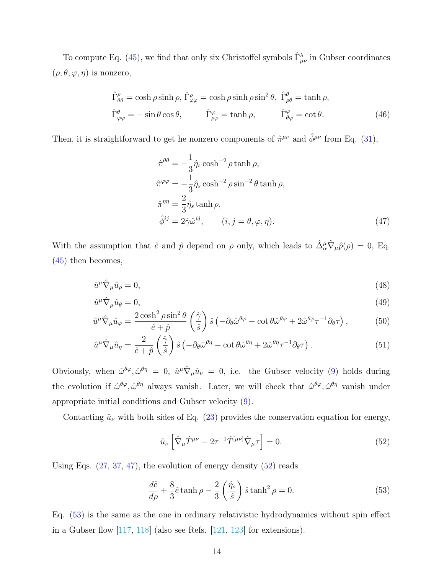To compute Eq. [\(45\)](#page-12-2), we find that only six Christoffel symbols  $\hat{\Gamma}^{\lambda}_{\mu\nu}$  in Gubser coordinates  $(\rho, \theta, \varphi, \eta)$  is nonzero,

$$
\hat{\Gamma}^{\rho}_{\theta\theta} = \cosh \rho \sinh \rho, \, \hat{\Gamma}^{\rho}_{\varphi\varphi} = \cosh \rho \sinh \rho \sin^2 \theta, \, \hat{\Gamma}^{\theta}_{\rho\theta} = \tanh \rho, \n\hat{\Gamma}^{\varphi}_{\varphi\varphi} = -\sin \theta \cos \theta, \qquad \hat{\Gamma}^{\varphi}_{\rho\varphi} = \tanh \rho, \qquad \hat{\Gamma}^{\varphi}_{\theta\varphi} = \cot \theta.
$$
\n(46)

Then, it is straightforward to get he nonzero components of  $\hat{\pi}^{\mu\nu}$  and  $\hat{\phi}^{\mu\nu}$  from Eq. [\(31\)](#page-9-2),

<span id="page-13-0"></span>
$$
\hat{\pi}^{\theta\theta} = -\frac{1}{3}\hat{\eta}_s \cosh^{-2} \rho \tanh \rho,
$$
  
\n
$$
\hat{\pi}^{\varphi\varphi} = -\frac{1}{3}\hat{\eta}_s \cosh^{-2} \rho \sin^{-2} \theta \tanh \rho,
$$
  
\n
$$
\hat{\pi}^{\eta\eta} = \frac{2}{3}\hat{\eta}_s \tanh \rho,
$$
  
\n
$$
\hat{\phi}^{ij} = 2\hat{\gamma}\hat{\omega}^{ij}, \qquad (i, j = \theta, \varphi, \eta).
$$
\n(47)

With the assumption that  $\hat{e}$  and  $\hat{p}$  depend on  $\rho$  only, which leads to  $\hat{\Delta}^{\mu}_{\alpha}\hat{\nabla}_{\mu}\hat{p}(\rho) = 0$ , Eq. [\(45\)](#page-12-2) then becomes,

<span id="page-13-3"></span>
$$
\hat{u}^{\mu}\hat{\nabla}_{\mu}\hat{u}_{\rho} = 0,\tag{48}
$$

$$
\hat{u}^{\mu}\hat{\nabla}_{\mu}\hat{u}_{\theta} = 0, \tag{49}
$$

$$
\hat{u}^{\mu}\hat{\nabla}_{\mu}\hat{u}_{\varphi} = \frac{2\cosh^2\rho\sin^2\theta}{\hat{e}+\hat{p}}\left(\frac{\hat{\gamma}}{\hat{s}}\right)\hat{s}\left(-\partial_{\theta}\hat{\omega}^{\theta\varphi} - \cot\theta\hat{\omega}^{\theta\varphi} + 2\hat{\omega}^{\theta\varphi}\tau^{-1}\partial_{\theta}\tau\right),\tag{50}
$$

$$
\hat{u}^{\mu}\hat{\nabla}_{\mu}\hat{u}_{\eta} = \frac{2}{\hat{e}+\hat{p}}\left(\frac{\hat{\gamma}}{\hat{s}}\right)\hat{s}\left(-\partial_{\theta}\hat{\omega}^{\theta\eta} - \cot\theta\hat{\omega}^{\theta\eta} + 2\hat{\omega}^{\theta\eta}\tau^{-1}\partial_{\theta}\tau\right).
$$
\n(51)

Obviously, when  $\hat{\omega}^{\theta\varphi}, \hat{\omega}^{\theta\eta} = 0$ ,  $\hat{u}^{\mu}\hat{\nabla}_{\mu}\hat{u}_{\nu} = 0$ , i.e. the Gubser velocity [\(9\)](#page-5-3) holds during the evolution if  $\hat{\omega}^{\theta\varphi}, \hat{\omega}^{\theta\eta}$  always vanish. Later, we will check that  $\hat{\omega}^{\theta\varphi}, \hat{\omega}^{\theta\eta}$  vanish under appropriate initial conditions and Gubser velocity [\(9\)](#page-5-3).

Contacting  $\hat{u}_{\nu}$  with both sides of Eq. [\(23\)](#page-8-1) provides the conservation equation for energy,

<span id="page-13-1"></span>
$$
\hat{u}_{\nu} \left[ \hat{\nabla}_{\mu} \hat{T}^{\mu \nu} - 2\tau^{-1} \hat{T}^{[\mu \nu]} \hat{\nabla}_{\mu} \tau \right] = 0. \tag{52}
$$

Using Eqs.  $(27, 37, 47)$  $(27, 37, 47)$  $(27, 37, 47)$  $(27, 37, 47)$  $(27, 37, 47)$ , the evolution of energy density  $(52)$  reads

<span id="page-13-2"></span>
$$
\frac{d\hat{e}}{d\rho} + \frac{8}{3}\hat{e}\tanh\rho - \frac{2}{3}\left(\frac{\hat{\eta}_s}{\hat{s}}\right)\hat{s}\tanh^2\rho = 0.
$$
\n(53)

Eq. [\(53\)](#page-13-2) is the same as the one in ordinary relativistic hydrodynamics without spin effect in a Gubser flow  $[117, 118]$  $[117, 118]$  $[117, 118]$  (also see Refs.  $[121, 123]$  $[121, 123]$  $[121, 123]$  for extensions).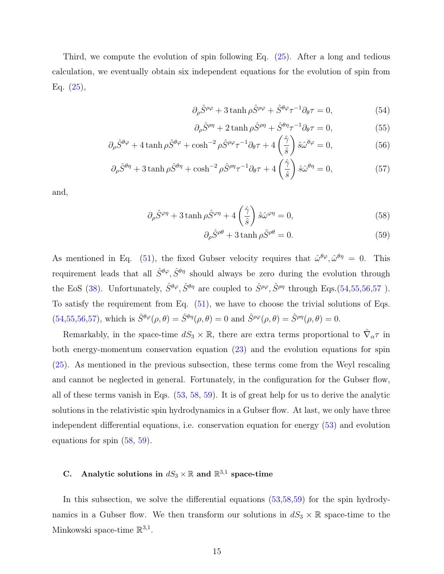Third, we compute the evolution of spin following Eq. [\(25\)](#page-8-0). After a long and tedious calculation, we eventually obtain six independent equations for the evolution of spin from Eq. [\(25\)](#page-8-0),

<span id="page-14-1"></span>
$$
\partial_{\rho}\hat{S}^{\rho\varphi} + 3\tanh\rho\hat{S}^{\rho\varphi} + \hat{S}^{\theta\varphi}\tau^{-1}\partial_{\theta}\tau = 0, \tag{54}
$$

$$
\partial_{\rho}\hat{S}^{\rho\eta} + 2\tanh\rho\hat{S}^{\rho\eta} + \hat{S}^{\theta\eta}\tau^{-1}\partial_{\theta}\tau = 0, \tag{55}
$$

$$
\partial_{\rho}\hat{S}^{\theta\varphi} + 4\tanh\rho\hat{S}^{\theta\varphi} + \cosh^{-2}\rho\hat{S}^{\rho\varphi}\tau^{-1}\partial_{\theta}\tau + 4\left(\frac{\hat{\gamma}}{\hat{s}}\right)\hat{s}\hat{\omega}^{\theta\varphi} = 0, \tag{56}
$$

$$
\partial_{\rho}\hat{S}^{\theta\eta} + 3\tanh\rho\hat{S}^{\theta\eta} + \cosh^{-2}\rho\hat{S}^{\rho\eta}\tau^{-1}\partial_{\theta}\tau + 4\left(\frac{\hat{\gamma}}{\hat{s}}\right)\hat{s}\hat{\omega}^{\theta\eta} = 0, \tag{57}
$$

and,

<span id="page-14-2"></span>
$$
\partial_{\rho}\hat{S}^{\varphi\eta} + 3\tanh\rho\hat{S}^{\varphi\eta} + 4\left(\frac{\hat{\gamma}}{\hat{s}}\right)\hat{s}\hat{\omega}^{\varphi\eta} = 0, \tag{58}
$$

$$
\partial_{\rho}\hat{S}^{\rho\theta} + 3\tanh\rho\hat{S}^{\rho\theta} = 0.
$$
 (59)

As mentioned in Eq. [\(51\)](#page-13-3), the fixed Gubser velocity requires that  $\hat{\omega}^{\theta\varphi}, \hat{\omega}^{\theta\eta} = 0$ . This requirement leads that all  $\hat{S}^{\theta\varphi}, \hat{S}^{\theta\eta}$  should always be zero during the evolution through the EoS [\(38\)](#page-11-3). Unfortunately,  $\hat{S}^{\theta\varphi}, \hat{S}^{\theta\eta}$  are coupled to  $\hat{S}^{\rho\varphi}, \hat{S}^{\rho\eta}$  through Eqs.[\(54,55,56,57](#page-14-1)). To satisfy the requirement from Eq.  $(51)$ , we have to choose the trivial solutions of Eqs. [\(54,55,56,57\)](#page-14-1), which is  $\hat{S}^{\theta\varphi}(\rho,\theta) = \hat{S}^{\theta\eta}(\rho,\theta) = 0$  and  $\hat{S}^{\rho\varphi}(\rho,\theta) = \hat{S}^{\rho\eta}(\rho,\theta) = 0$ .

Remarkably, in the space-time  $dS_3 \times \mathbb{R}$ , there are extra terms proportional to  $\hat{\nabla}_{\alpha} \tau$  in both energy-momentum conservation equation [\(23\)](#page-8-1) and the evolution equations for spin [\(25\)](#page-8-0). As mentioned in the previous subsection, these terms come from the Weyl rescaling and cannot be neglected in general. Fortunately, in the configuration for the Gubser flow, all of these terms vanish in Eqs. [\(53,](#page-13-2) [58,](#page-14-2) [59\)](#page-14-2). It is of great help for us to derive the analytic solutions in the relativistic spin hydrodynamics in a Gubser flow. At last, we only have three independent differential equations, i.e. conservation equation for energy [\(53\)](#page-13-2) and evolution equations for spin [\(58,](#page-14-2) [59\)](#page-14-2).

# <span id="page-14-0"></span>C. Analytic solutions in  $dS_3 \times \mathbb{R}$  and  $\mathbb{R}^{3,1}$  space-time

In this subsection, we solve the differential equations [\(53,](#page-13-2)[58,59\)](#page-14-2) for the spin hydrodynamics in a Gubser flow. We then transform our solutions in  $dS_3 \times \mathbb{R}$  space-time to the Minkowski space-time  $\mathbb{R}^{3,1}$ .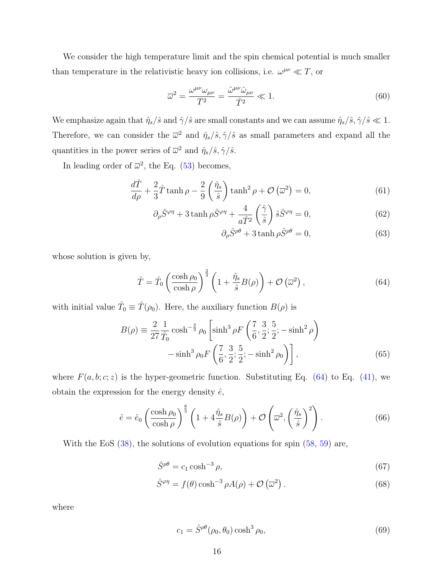We consider the high temperature limit and the spin chemical potential is much smaller than temperature in the relativistic heavy ion collisions, i.e.  $\omega^{\mu\nu} \ll T$ , or

<span id="page-15-4"></span>
$$
\overline{\omega}^2 = \frac{\omega^{\mu\nu}\omega_{\mu\nu}}{T^2} = \frac{\hat{\omega}^{\mu\nu}\hat{\omega}_{\mu\nu}}{\hat{T}^2} \ll 1.
$$
\n(60)

We emphasize again that  $\hat{\eta}_s/\hat{s}$  and  $\hat{\gamma}/\hat{s}$  are small constants and we can assume  $\hat{\eta}_s/\hat{s}$ ,  $\hat{\gamma}/\hat{s} \ll 1$ . Therefore, we can consider the  $\bar{\omega}^2$  and  $\hat{\eta}_s/\hat{s}, \hat{\gamma}/\hat{s}$  as small parameters and expand all the quantities in the power series of  $\overline{\omega}^2$  and  $\hat{\eta}_s/\hat{s}, \hat{\gamma}/\hat{s}$ .

In leading order of  $\overline{\omega}^2$ , the Eq. [\(53\)](#page-13-2) becomes,

$$
\frac{d\hat{T}}{d\rho} + \frac{2}{3}\hat{T}\tanh\rho - \frac{2}{9}\left(\frac{\hat{\eta}_s}{\hat{s}}\right)\tanh^2\rho + \mathcal{O}\left(\overline{\omega}^2\right) = 0,\tag{61}
$$

$$
\partial_{\rho}\hat{S}^{\varphi\eta} + 3\tanh\rho\hat{S}^{\varphi\eta} + \frac{4}{a\hat{T}^2} \left(\frac{\hat{\gamma}}{\hat{s}}\right) \hat{s}\hat{S}^{\varphi\eta} = 0, \tag{62}
$$

$$
\partial_{\rho}\hat{S}^{\rho\theta} + 3\tanh\rho\hat{S}^{\rho\theta} = 0, \tag{63}
$$

whose solution is given by,

<span id="page-15-0"></span>
$$
\hat{T} = \hat{T}_0 \left( \frac{\cosh \rho_0}{\cosh \rho} \right)^{\frac{2}{3}} \left( 1 + \frac{\hat{\eta}_s}{\hat{s}} B(\rho) \right) + \mathcal{O}\left(\overline{\omega}^2\right),\tag{64}
$$

with initial value  $\hat{T}_0 \equiv \hat{T}(\rho_0)$ . Here, the auxiliary function  $B(\rho)$  is

$$
B(\rho) \equiv \frac{2}{27} \frac{1}{\hat{T}_0} \cosh^{-\frac{2}{3}} \rho_0 \left[ \sinh^3 \rho F \left( \frac{7}{6}, \frac{3}{2}; \frac{5}{2}; -\sinh^2 \rho \right) - \sinh^3 \rho_0 F \left( \frac{7}{6}, \frac{3}{2}; \frac{5}{2}; -\sinh^2 \rho_0 \right) \right],
$$
 (65)

where  $F(a, b; c; z)$  is the hyper-geometric function. Substituting Eq. [\(64\)](#page-15-0) to Eq. [\(41\)](#page-12-3), we obtain the expression for the energy density  $\hat{e}$ ,

<span id="page-15-2"></span>
$$
\hat{e} = \hat{e}_0 \left( \frac{\cosh \rho_0}{\cosh \rho} \right)^{\frac{8}{3}} \left( 1 + 4 \frac{\hat{\eta}_s}{\hat{s}} B(\rho) \right) + \mathcal{O} \left( \overline{\omega}^2, \left( \frac{\hat{\eta}_s}{\hat{s}} \right)^2 \right). \tag{66}
$$

With the EoS [\(38\)](#page-11-3), the solutions of evolution equations for spin [\(58,](#page-14-2) [59\)](#page-14-2) are,

<span id="page-15-1"></span>
$$
\hat{S}^{\rho\theta} = c_1 \cosh^{-3} \rho,\tag{67}
$$

$$
\hat{S}^{\varphi\eta} = f(\theta)\cosh^{-3}\rho A(\rho) + \mathcal{O}\left(\overline{\omega}^2\right). \tag{68}
$$

where

<span id="page-15-3"></span>
$$
c_1 = \hat{S}^{\rho\theta}(\rho_0, \theta_0) \cosh^3 \rho_0,\tag{69}
$$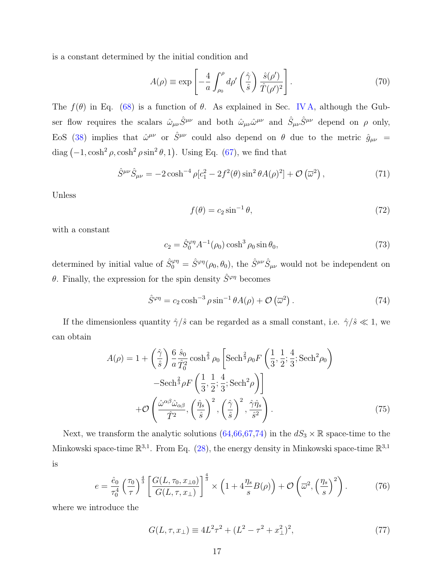is a constant determined by the initial condition and

<span id="page-16-1"></span>
$$
A(\rho) \equiv \exp\left[-\frac{4}{a} \int_{\rho_0}^{\rho} d\rho' \left(\frac{\hat{\gamma}}{\hat{s}}\right) \frac{\hat{s}(\rho')}{\hat{T}(\rho')^2}\right].
$$
 (70)

The  $f(\theta)$  in Eq. [\(68\)](#page-15-1) is a function of  $\theta$ . As explained in Sec. [IV A,](#page-11-0) although the Gubser flow requires the scalars  $\hat{\omega}_{\mu\nu}\hat{S}^{\mu\nu}$  and both  $\hat{\omega}_{\mu\nu}\hat{\omega}^{\mu\nu}$  and  $\hat{S}_{\mu\nu}\hat{S}^{\mu\nu}$  depend on  $\rho$  only, EoS [\(38\)](#page-11-3) implies that  $\hat{\omega}^{\mu\nu}$  or  $\hat{S}^{\mu\nu}$  could also depend on  $\theta$  due to the metric  $\hat{g}_{\mu\nu}$  = diag  $(-1, \cosh^2 \rho, \cosh^2 \rho \sin^2 \theta, 1)$ . Using Eq. [\(67\)](#page-15-1), we find that

$$
\hat{S}^{\mu\nu}\hat{S}_{\mu\nu} = -2\cosh^{-4}\rho[c_1^2 - 2f^2(\theta)\sin^2\theta A(\rho)^2] + \mathcal{O}\left(\overline{\omega}^2\right),\tag{71}
$$

Unless

$$
f(\theta) = c_2 \sin^{-1} \theta,\tag{72}
$$

with a constant

$$
c_2 = \hat{S}_0^{\varphi\eta} A^{-1}(\rho_0) \cosh^3 \rho_0 \sin \theta_0, \tag{73}
$$

determined by initial value of  $\hat{S}_0^{\varphi\eta} = \hat{S}^{\varphi\eta}(\rho_0, \theta_0)$ , the  $\hat{S}^{\mu\nu}\hat{S}_{\mu\nu}$  would not be independent on θ. Finally, the expression for the spin density  $\hat{S}^{\varphi\eta}$  becomes

<span id="page-16-0"></span>
$$
\hat{S}^{\varphi\eta} = c_2 \cosh^{-3} \rho \sin^{-1} \theta A(\rho) + \mathcal{O}\left(\overline{\omega}^2\right). \tag{74}
$$

If the dimensionless quantity  $\hat{\gamma}/\hat{s}$  can be regarded as a small constant, i.e.  $\hat{\gamma}/\hat{s} \ll 1$ , we can obtain

$$
A(\rho) = 1 + \left(\frac{\hat{\gamma}}{\hat{s}}\right) \frac{6}{a} \frac{\hat{s}_0}{\hat{T}_0^2} \cosh^{\frac{2}{3}} \rho_0 \left[ \mathrm{Sech}^{\frac{2}{3}} \rho_0 F\left(\frac{1}{3}, \frac{1}{2}; \frac{4}{3}; \mathrm{Sech}^2 \rho_0 \right) \right] \n- \mathrm{Sech}^{\frac{2}{3}} \rho F\left(\frac{1}{3}, \frac{1}{2}; \frac{4}{3}; \mathrm{Sech}^2 \rho \right) \n+ \mathcal{O}\left(\frac{\hat{\omega}^{\alpha \beta} \hat{\omega}_{\alpha \beta}}{\hat{T}^2}, \left(\frac{\hat{\eta}_s}{\hat{s}}\right)^2, \left(\frac{\hat{\gamma}}{\hat{s}}\right)^2, \frac{\hat{\gamma} \hat{\eta}_s}{\hat{s}^2} \right).
$$
\n(75)

Next, we transform the analytic solutions  $(64,66,67,74)$  $(64,66,67,74)$  $(64,66,67,74)$  $(64,66,67,74)$  in the  $dS_3 \times \mathbb{R}$  space-time to the Minkowski space-time  $\mathbb{R}^{3,1}$ . From Eq. [\(28\)](#page-9-3), the energy density in Minkowski space-time  $\mathbb{R}^{3,1}$ is

<span id="page-16-3"></span>
$$
e = \frac{\hat{e}_0}{\tau_0^4} \left(\frac{\tau_0}{\tau}\right)^{\frac{4}{3}} \left[\frac{G(L, \tau_0, x_{\perp 0})}{G(L, \tau, x_{\perp})}\right]^{\frac{4}{3}} \times \left(1 + 4\frac{\eta_s}{s}B(\rho)\right) + \mathcal{O}\left(\overline{\omega}^2, \left(\frac{\eta_s}{s}\right)^2\right). \tag{76}
$$

where we introduce the

<span id="page-16-2"></span>
$$
G(L, \tau, x_{\perp}) \equiv 4L^2 \tau^2 + (L^2 - \tau^2 + x_{\perp}^2)^2,
$$
\n(77)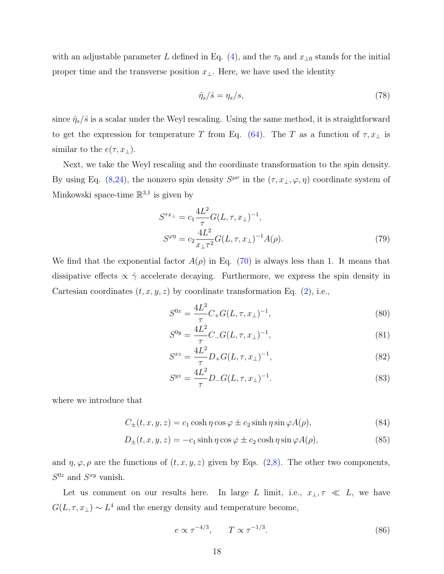with an adjustable parameter L defined in Eq. [\(4\)](#page-4-2), and the  $\tau_0$  and  $x_{\perp 0}$  stands for the initial proper time and the transverse position  $x_{\perp}$ . Here, we have used the identity

$$
\hat{\eta}_s/\hat{s} = \eta_s/s,\tag{78}
$$

since  $\hat{\eta}_s/\hat{s}$  is a scalar under the Weyl rescaling. Using the same method, it is straightforward to get the expression for temperature T from Eq. [\(64\)](#page-15-0). The T as a function of  $\tau, x_{\perp}$  is similar to the  $e(\tau, x_{\perp}).$ 

Next, we take the Weyl rescaling and the coordinate transformation to the spin density. By using Eq. [\(8,](#page-5-2)[24\)](#page-8-2), the nonzero spin density  $S^{\mu\nu}$  in the  $(\tau, x_{\perp}, \varphi, \eta)$  coordinate system of Minkowski space-time  $\mathbb{R}^{3,1}$  is given by

<span id="page-17-1"></span>
$$
S^{\tau x_{\perp}} = c_1 \frac{4L^2}{\tau} G(L, \tau, x_{\perp})^{-1},
$$
  
\n
$$
S^{\varphi \eta} = c_2 \frac{4L^2}{x_{\perp} \tau^2} G(L, \tau, x_{\perp})^{-1} A(\rho).
$$
\n(79)

We find that the exponential factor  $A(\rho)$  in Eq. [\(70\)](#page-16-1) is always less than 1. It means that dissipative effects  $\propto \hat{\gamma}$  accelerate decaying. Furthermore, we express the spin density in Cartesian coordinates  $(t, x, y, z)$  by coordinate transformation Eq. [\(2\)](#page-4-3), i.e.,

<span id="page-17-0"></span>
$$
S^{0x} = \frac{4L^2}{\tau} C_+ G(L, \tau, x_\perp)^{-1},\tag{80}
$$

$$
S^{0y} = \frac{4L^2}{\tau} C_- G(L, \tau, x_\perp)^{-1},\tag{81}
$$

$$
S^{xz} = \frac{4L^2}{\tau} D_+ G(L, \tau, x_\perp)^{-1},\tag{82}
$$

$$
S^{yz} = \frac{4L^2}{\tau} D_- G(L, \tau, x_\perp)^{-1}.
$$
\n(83)

where we introduce that

$$
C_{\pm}(t, x, y, z) = c_1 \cosh \eta \cos \varphi \pm c_2 \sinh \eta \sin \varphi A(\rho), \qquad (84)
$$

$$
D_{\pm}(t, x, y, z) = -c_1 \sinh \eta \cos \varphi \pm c_2 \cosh \eta \sin \varphi A(\rho), \qquad (85)
$$

and  $\eta, \varphi, \rho$  are the functions of  $(t, x, y, z)$  given by Eqs. [\(2,](#page-4-3)[8\)](#page-5-2). The other two components,  $S^{0z}$  and  $S^{xy}$  vanish.

Let us comment on our results here. In large L limit, i.e.,  $x_{\perp}, \tau \ll L$ , we have  $G(L, \tau, x_{\perp}) \sim L^4$  and the energy density and temperature become,

$$
e \propto \tau^{-4/3}, \qquad T \propto \tau^{-1/3}.
$$
\n(86)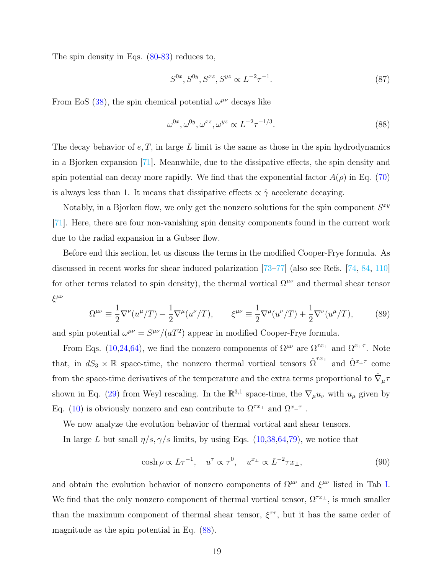The spin density in Eqs.  $(80-83)$  reduces to,

$$
S^{0x}, S^{0y}, S^{xz}, S^{yz} \propto L^{-2} \tau^{-1}.
$$
\n(87)

From EoS [\(38\)](#page-11-3), the spin chemical potential  $\omega^{\mu\nu}$  decays like

<span id="page-18-0"></span>
$$
\omega^{0x}, \omega^{0y}, \omega^{xz}, \omega^{yz} \propto L^{-2} \tau^{-1/3}.
$$
\n
$$
(88)
$$

The decay behavior of  $e, T$ , in large  $L$  limit is the same as those in the spin hydrodynamics in a Bjorken expansion [\[71\]](#page-27-0). Meanwhile, due to the dissipative effects, the spin density and spin potential can decay more rapidly. We find that the exponential factor  $A(\rho)$  in Eq. [\(70\)](#page-16-1) is always less than 1. It means that dissipative effects  $\propto \hat{\gamma}$  accelerate decaying.

Notably, in a Bjorken flow, we only get the nonzero solutions for the spin component  $S^{xy}$ [\[71\]](#page-27-0). Here, there are four non-vanishing spin density components found in the current work due to the radial expansion in a Gubser flow.

Before end this section, let us discuss the terms in the modified Cooper-Frye formula. As discussed in recent works for shear induced polarization [\[73–](#page-27-2)[77\]](#page-27-3) (also see Refs. [\[74,](#page-27-10) [84,](#page-27-9) [110\]](#page-29-2) for other terms related to spin density), the thermal vortical  $\Omega^{\mu\nu}$  and thermal shear tensor ξ µν

$$
\Omega^{\mu\nu} \equiv \frac{1}{2} \nabla^{\nu} (u^{\mu}/T) - \frac{1}{2} \nabla^{\mu} (u^{\nu}/T), \qquad \xi^{\mu\nu} \equiv \frac{1}{2} \nabla^{\mu} (u^{\nu}/T) + \frac{1}{2} \nabla^{\nu} (u^{\mu}/T), \tag{89}
$$

and spin potential  $\omega^{\mu\nu} = S^{\mu\nu}/(aT^2)$  appear in modified Cooper-Frye formula.

From Eqs. [\(10,](#page-5-4)[24,](#page-8-2)[64\)](#page-15-0), we find the nonzero components of  $\Omega^{\mu\nu}$  are  $\Omega^{\tau x_{\perp}}$  and  $\Omega^{x_{\perp}\tau}$ . Note that, in  $dS_3 \times \mathbb{R}$  space-time, the nonzero thermal vortical tensors  $\hat{\Omega}^{\tau x_{\perp}}$  and  $\hat{\Omega}^{x_{\perp} \tau}$  come from the space-time derivatives of the temperature and the extra terms proportional to  $\hat{\nabla}_{\mu}\tau$ shown in Eq. [\(29\)](#page-9-0) from Weyl rescaling. In the  $\mathbb{R}^{3,1}$  space-time, the  $\nabla_{\mu}u_{\nu}$  with  $u_{\mu}$  given by Eq. [\(10\)](#page-5-4) is obviously nonzero and can contribute to  $\Omega^{\tau x_{\perp}}$  and  $\Omega^{x_{\perp} \tau}$ .

We now analyze the evolution behavior of thermal vortical and shear tensors.

In large L but small  $\eta/s, \gamma/s$  limits, by using Eqs. [\(10](#page-5-4)[,38,](#page-11-3)[64,](#page-15-0)[79\)](#page-17-1), we notice that

$$
\cosh \rho \propto L\tau^{-1}, \quad u^{\tau} \propto \tau^{0}, \quad u^{x_{\perp}} \propto L^{-2}\tau x_{\perp}, \tag{90}
$$

and obtain the evolution behavior of nonzero components of  $\Omega^{\mu\nu}$  and  $\xi^{\mu\nu}$  listed in Tab [I.](#page-19-0) We find that the only nonzero component of thermal vortical tensor,  $\Omega^{\tau x_{\perp}}$ , is much smaller than the maximum component of thermal shear tensor,  $\xi^{\tau\tau}$ , but it has the same order of magnitude as the spin potential in Eq. [\(88\)](#page-18-0).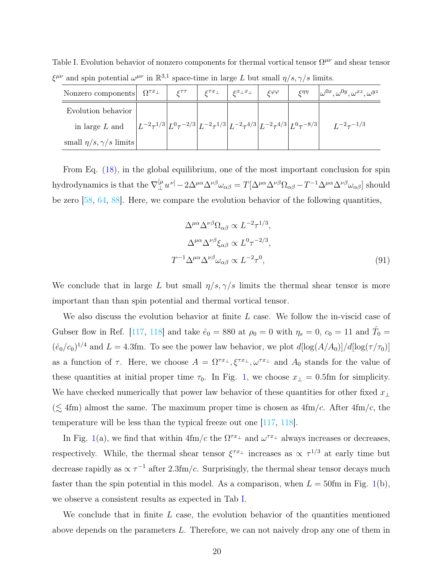<span id="page-19-0"></span>Table I. Evolution behavior of nonzero components for thermal vortical tensor  $\Omega^{\mu\nu}$  and shear tensor  $\xi^{\mu\nu}$  and spin potential  $\omega^{\mu\nu}$  in  $\mathbb{R}^{3,1}$  space-time in large L but small  $\eta/s, \gamma/s$  limits.

| Nonzero components              | $\Omega^{\tau x}$                                                                                                                                          | $c^{\tau\tau}$ | $\varepsilon^{\tau x_\perp}$ | $\varepsilon^{x_\perp x_\perp}$ | $\mathcal{E}^{\varphi\varphi}$ | $\mathcal{L} \eta \eta$ | $\omega^{0x}, \omega^{0y}, \omega^{xz}, \omega^{yz}$ |
|---------------------------------|------------------------------------------------------------------------------------------------------------------------------------------------------------|----------------|------------------------------|---------------------------------|--------------------------------|-------------------------|------------------------------------------------------|
| Evolution behavior              |                                                                                                                                                            |                |                              |                                 |                                |                         |                                                      |
| in large $L$ and                | $\left  L^{-2} \tau^{1/3} \right  L^{0} \tau^{-2/3} \left  L^{-2} \tau^{1/3} \right  L^{-2} \tau^{4/3} \left  L^{-2} \tau^{4/3} \right  L^{0} \tau^{-8/3}$ |                |                              |                                 |                                |                         | $L^{-2} \tau^{-1/3}$                                 |
| small $\eta/s, \gamma/s$ limits |                                                                                                                                                            |                |                              |                                 |                                |                         |                                                      |

From Eq. [\(18\)](#page-7-2), in the global equilibrium, one of the most important conclusion for spin hydrodynamics is that the  $\nabla^{\left[\mu\right]}_{\perp}$  $\int_\perp^\mu u^{\nu]}-2\Delta^{\mu\alpha}\Delta^{\nu\beta}\omega_{\alpha\beta}=T[\Delta^{\mu\alpha}\Delta^{\nu\beta}\Omega_{\alpha\beta}-T^{-1}\Delta^{\mu\alpha}\Delta^{\nu\beta}\omega_{\alpha\beta}] \text{ should}$ be zero [\[58,](#page-26-6) [64,](#page-27-13) [88\]](#page-28-6). Here, we compare the evolution behavior of the following quantities,

$$
\Delta^{\mu\alpha}\Delta^{\nu\beta}\Omega_{\alpha\beta} \propto L^{-2}\tau^{1/3},
$$
  
\n
$$
\Delta^{\mu\alpha}\Delta^{\nu\beta}\xi_{\alpha\beta} \propto L^{0}\tau^{-2/3},
$$
  
\n
$$
T^{-1}\Delta^{\mu\alpha}\Delta^{\nu\beta}\omega_{\alpha\beta} \propto L^{-2}\tau^{0},
$$
\n(91)

We conclude that in large L but small  $\eta/s, \gamma/s$  limits the thermal shear tensor is more important than than spin potential and thermal vortical tensor.

We also discuss the evolution behavior at finite  $L$  case. We follow the in-viscid case of Gubser flow in Ref. [\[117,](#page-29-5) [118\]](#page-29-8) and take  $\hat{e}_0 = 880$  at  $\rho_0 = 0$  with  $\eta_s = 0$ ,  $c_0 = 11$  and  $\hat{T}_0 =$  $(\hat{e}_0/c_0)^{1/4}$  and  $L = 4.3$ fm. To see the power law behavior, we plot  $d[\log(A/A_0)]/d[\log(\tau/\tau_0)]$ as a function of  $\tau$ . Here, we choose  $A = \Omega^{\tau x_{\perp}}, \xi^{\tau x_{\perp}}, \omega^{\tau x_{\perp}}$  and  $A_0$  stands for the value of these quantities at initial proper time  $\tau_0$ . In Fig. [1,](#page-20-1) we choose  $x_\perp = 0.5$ fm for simplicity. We have checked numerically that power law behavior of these quantities for other fixed  $x_{\perp}$  $(\lesssim 4 \text{fm})$  almost the same. The maximum proper time is chosen as  $4 \text{fm}/c$ . After  $4 \text{fm}/c$ , the temperature will be less than the typical freeze out one [\[117,](#page-29-5) [118\]](#page-29-8).

In Fig. [1\(](#page-20-1)a), we find that within  $4 \text{fm}/c$  the  $\Omega^{\tau x_{\perp}}$  and  $\omega^{\tau x_{\perp}}$  always increases or decreases, respectively. While, the thermal shear tensor  $\xi^{\tau x_{\perp}}$  increases as  $\propto \tau^{1/3}$  at early time but decrease rapidly as  $\propto \tau^{-1}$  after 2.3fm/c. Surprisingly, the thermal shear tensor decays much faster than the spin potential in this model. As a comparison, when  $L = 50$ fm in Fig. [1\(](#page-20-1)b), we observe a consistent results as expected in Tab [I.](#page-19-0)

We conclude that in finite  $L$  case, the evolution behavior of the quantities mentioned above depends on the parameters L. Therefore, we can not naively drop any one of them in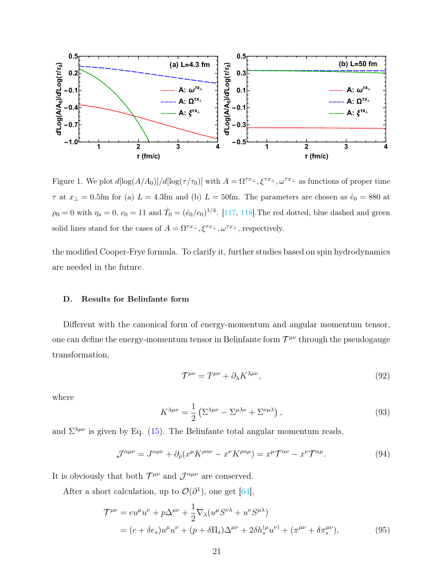

<span id="page-20-1"></span>Figure 1. We plot  $d[\log(A/A_0)]/d[\log(\tau/\tau_0)]$  with  $A = \Omega^{\tau x_\perp}, \xi^{\tau x_\perp}, \omega^{\tau x_\perp}$  as functions of proper time  $\tau$  at  $x_{\perp} = 0.5$ fm for (a)  $L = 4.3$ fm and (b)  $L = 50$ fm. The parameters are chosen as  $\hat{e}_0 = 880$  at  $\rho_0 = 0$  with  $\eta_s = 0$ ,  $c_0 = 11$  and  $\hat{T}_0 = (\hat{e}_0/c_0)^{1/4}$ . [\[117,](#page-29-5) [118\]](#page-29-8). The red dotted, blue dashed and green solid lines stand for the cases of  $A = \Omega^{\tau x_{\perp}}, \xi^{\tau x_{\perp}}, \omega^{\tau x_{\perp}},$  respectively.

the modified Cooper-Frye formula. To clarify it, further studies based on spin hydrodynamics are needed in the future.

## <span id="page-20-0"></span>D. Results for Belinfante form

Different with the canonical form of energy-momentum and angular momentum tensor, one can define the energy-momentum tensor in Belinfante form  $\mathcal{T}^{\mu\nu}$  through the pseudogauge transformation,

$$
\mathcal{T}^{\mu\nu} = T^{\mu\nu} + \partial_{\lambda} K^{\lambda\mu\nu},\tag{92}
$$

where

$$
K^{\lambda\mu\nu} = \frac{1}{2} \left( \Sigma^{\lambda\mu\nu} - \Sigma^{\mu\lambda\nu} + \Sigma^{\nu\mu\lambda} \right), \tag{93}
$$

and  $\Sigma^{\lambda\mu\nu}$  is given by Eq. [\(15\)](#page-6-5). The Belinfante total angular momentum reads,

$$
\mathcal{J}^{\alpha\mu\nu} = J^{\alpha\mu\nu} + \partial_{\rho}(x^{\mu}K^{\rho\alpha\nu} - x^{\nu}K^{\rho\alpha\mu}) = x^{\mu}\mathcal{T}^{\alpha\nu} - x^{\nu}\mathcal{T}^{\alpha\mu}.
$$
 (94)

It is obviously that both  $\mathcal{T}^{\mu\nu}$  and  $\mathcal{J}^{\alpha\mu\nu}$  are conserved.

After a short calculation, up to  $\mathcal{O}(\partial^1)$ , one get [\[64\]](#page-27-13),

$$
\mathcal{T}^{\mu\nu} = e u^{\mu} u^{\nu} + p \Delta^{\mu\nu} + \frac{1}{2} \nabla_{\lambda} (u^{\mu} S^{\nu\lambda} + u^{\nu} S^{\mu\lambda})
$$
  
=  $(e + \delta e_s) u^{\mu} u^{\nu} + (p + \delta \Pi_s) \Delta^{\mu\nu} + 2 \delta h_s^{(\mu} u^{\nu)} + (\pi^{\mu\nu} + \delta \pi_s^{\mu\nu}),$  (95)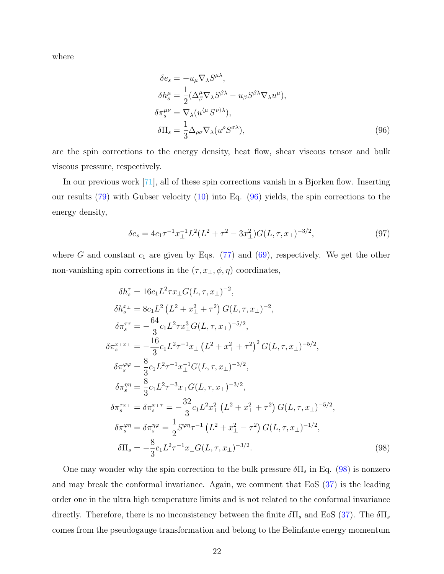where

<span id="page-21-0"></span>
$$
\delta e_s = -u_\mu \nabla_\lambda S^{\mu \lambda},
$$
  
\n
$$
\delta h_s^{\mu} = \frac{1}{2} (\Delta_\beta^{\mu} \nabla_\lambda S^{\beta \lambda} - u_\beta S^{\beta \lambda} \nabla_\lambda u^{\mu}),
$$
  
\n
$$
\delta \pi_s^{\mu \nu} = \nabla_\lambda (u^{\langle \mu} S^{\nu \rangle \lambda}),
$$
  
\n
$$
\delta \Pi_s = \frac{1}{3} \Delta_{\rho \sigma} \nabla_\lambda (u^{\rho} S^{\sigma \lambda}),
$$
\n(96)

are the spin corrections to the energy density, heat flow, shear viscous tensor and bulk viscous pressure, respectively.

In our previous work [\[71\]](#page-27-0), all of these spin corrections vanish in a Bjorken flow. Inserting our results [\(79\)](#page-17-1) with Gubser velocity [\(10\)](#page-5-4) into Eq. [\(96\)](#page-21-0) yields, the spin corrections to the energy density,

<span id="page-21-2"></span>
$$
\delta e_s = 4c_1 \tau^{-1} x_\perp^{-1} L^2 (L^2 + \tau^2 - 3x_\perp^2) G(L, \tau, x_\perp)^{-3/2},\tag{97}
$$

where G and constant  $c_1$  are given by Eqs. [\(77\)](#page-16-2) and [\(69\)](#page-15-3), respectively. We get the other non-vanishing spin corrections in the  $(\tau, x_{\perp}, \phi, \eta)$  coordinates,

<span id="page-21-1"></span>
$$
\delta h_s^{\tau} = 16c_1 L^2 \tau x_{\perp} G(L, \tau, x_{\perp})^{-2},
$$
  
\n
$$
\delta h_s^{\tau_{\perp}} = 8c_1 L^2 (L^2 + x_{\perp}^2 + \tau^2) G(L, \tau, x_{\perp})^{-2},
$$
  
\n
$$
\delta \pi_s^{\tau \tau} = -\frac{64}{3} c_1 L^2 \tau x_{\perp}^3 G(L, \tau, x_{\perp})^{-5/2},
$$
  
\n
$$
\delta \pi_s^{\tau_{\perp} x_{\perp}} = -\frac{16}{3} c_1 L^2 \tau^{-1} x_{\perp} (L^2 + x_{\perp}^2 + \tau^2)^2 G(L, \tau, x_{\perp})^{-5/2},
$$
  
\n
$$
\delta \pi_s^{\varphi \varphi} = \frac{8}{3} c_1 L^2 \tau^{-1} x_{\perp}^{-1} G(L, \tau, x_{\perp})^{-3/2},
$$
  
\n
$$
\delta \pi_s^{\eta \eta} = \frac{8}{3} c_1 L^2 \tau^{-3} x_{\perp} G(L, \tau, x_{\perp})^{-3/2},
$$
  
\n
$$
\delta \pi_s^{\tau \tau_{\perp}} = \delta \pi_s^{\tau_{\perp} \tau} = -\frac{32}{3} c_1 L^2 x_{\perp}^2 (L^2 + x_{\perp}^2 + \tau^2) G(L, \tau, x_{\perp})^{-5/2},
$$
  
\n
$$
\delta \pi_s^{\varphi \eta} = \delta \pi_s^{\eta \varphi} = \frac{1}{2} S^{\varphi \eta} \tau^{-1} (L^2 + x_{\perp}^2 - \tau^2) G(L, \tau, x_{\perp})^{-1/2},
$$
  
\n
$$
\delta \Pi_s = -\frac{8}{3} c_1 L^2 \tau^{-1} x_{\perp} G(L, \tau, x_{\perp})^{-3/2}.
$$
  
\n(98)

One may wonder why the spin correction to the bulk pressure  $\delta\Pi_s$  in Eq. [\(98\)](#page-21-1) is nonzero and may break the conformal invariance. Again, we comment that EoS [\(37\)](#page-11-2) is the leading order one in the ultra high temperature limits and is not related to the conformal invariance directly. Therefore, there is no inconsistency between the finite  $\delta \Pi_s$  and EoS [\(37\)](#page-11-2). The  $\delta \Pi_s$ comes from the pseudogauge transformation and belong to the Belinfante energy momentum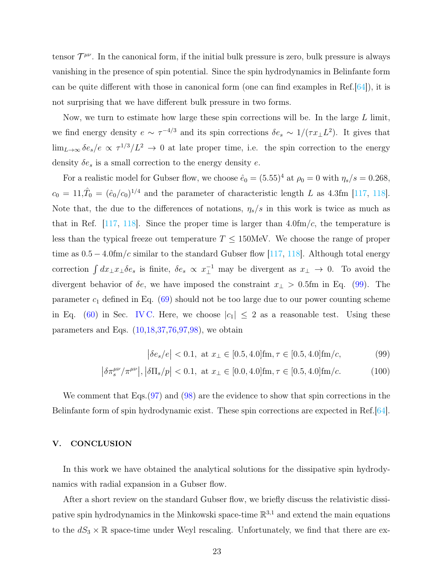tensor  $\mathcal{T}^{\mu\nu}$ . In the canonical form, if the initial bulk pressure is zero, bulk pressure is always vanishing in the presence of spin potential. Since the spin hydrodynamics in Belinfante form can be quite different with those in canonical form (one can find examples in Ref.[\[64\]](#page-27-13)), it is not surprising that we have different bulk pressure in two forms.

Now, we turn to estimate how large these spin corrections will be. In the large  $L$  limit, we find energy density  $e \sim \tau^{-4/3}$  and its spin corrections  $\delta e_s \sim 1/(\tau x_\perp L^2)$ . It gives that  $\lim_{L\to\infty} \delta e_s/e \propto \tau^{1/3}/L^2 \to 0$  at late proper time, i.e. the spin correction to the energy density  $\delta e_s$  is a small correction to the energy density e.

For a realistic model for Gubser flow, we choose  $\hat{e}_0 = (5.55)^4$  at  $\rho_0 = 0$  with  $\eta_s/s = 0.268$ ,  $c_0 = 11, \hat{T}_0 = (\hat{e}_0/c_0)^{1/4}$  and the parameter of characteristic length L as 4.3fm [\[117,](#page-29-5) [118\]](#page-29-8). Note that, the due to the differences of notations,  $\eta_s/s$  in this work is twice as much as that in Ref.  $[117, 118]$  $[117, 118]$  $[117, 118]$ . Since the proper time is larger than 4.0fm/c, the temperature is less than the typical freeze out temperature  $T \leq 150$ MeV. We choose the range of proper time as  $0.5 - 4.0 \text{fm}/c$  similar to the standard Gubser flow [\[117,](#page-29-5) [118\]](#page-29-8). Although total energy correction  $\int dx_{\perp}x_{\perp}\delta e_s$  is finite,  $\delta e_s \propto x_{\perp}^{-1}$  may be divergent as  $x_{\perp} \to 0$ . To avoid the divergent behavior of  $\delta e$ , we have imposed the constraint  $x_{\perp} > 0.5$ fm in Eq. [\(99\)](#page-22-1). The parameter  $c_1$  defined in Eq. [\(69\)](#page-15-3) should not be too large due to our power counting scheme in Eq. [\(60\)](#page-15-4) in Sec. [IV C.](#page-14-0) Here, we choose  $|c_1| \leq 2$  as a reasonable test. Using these parameters and Eqs.  $(10,18,37,76,97,98)$  $(10,18,37,76,97,98)$  $(10,18,37,76,97,98)$  $(10,18,37,76,97,98)$  $(10,18,37,76,97,98)$  $(10,18,37,76,97,98)$ , we obtain

<span id="page-22-1"></span>
$$
\left| \delta e_s / e \right| < 0.1, \text{ at } x_\perp \in [0.5, 4.0] \text{fm}, \tau \in [0.5, 4.0] \text{fm}/c,\tag{99}
$$

$$
\left| \delta \pi_s^{\mu\nu} / \pi^{\mu\nu} \right|, \left| \delta \Pi_s / p \right| < 0.1, \text{ at } x_\perp \in [0.0, 4.0] \text{fm}, \tau \in [0.5, 4.0] \text{fm}/c. \tag{100}
$$

We comment that Eqs. [\(97\)](#page-21-2) and [\(98\)](#page-21-1) are the evidence to show that spin corrections in the Belinfante form of spin hydrodynamic exist. These spin corrections are expected in Ref.[\[64\]](#page-27-13).

### <span id="page-22-0"></span>V. CONCLUSION

In this work we have obtained the analytical solutions for the dissipative spin hydrodynamics with radial expansion in a Gubser flow.

After a short review on the standard Gubser flow, we briefly discuss the relativistic dissipative spin hydrodynamics in the Minkowski space-time  $\mathbb{R}^{3,1}$  and extend the main equations to the  $dS_3 \times \mathbb{R}$  space-time under Weyl rescaling. Unfortunately, we find that there are ex-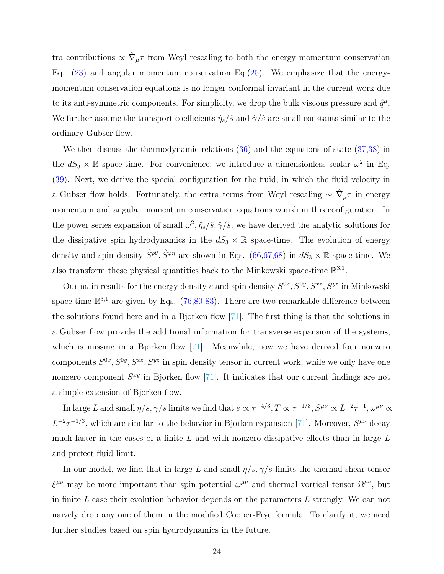tra contributions  $\propto \hat{\nabla}_{\mu} \tau$  from Weyl rescaling to both the energy momentum conservation Eq.  $(23)$  and angular momentum conservation Eq.  $(25)$ . We emphasize that the energymomentum conservation equations is no longer conformal invariant in the current work due to its anti-symmetric components. For simplicity, we drop the bulk viscous pressure and  $\hat{q}^{\mu}$ . We further assume the transport coefficients  $\hat{\eta}_s/\hat{s}$  and  $\hat{\gamma}/\hat{s}$  are small constants similar to the ordinary Gubser flow.

We then discuss the thermodynamic relations  $(36)$  and the equations of state  $(37,38)$  $(37,38)$  in the  $dS_3 \times \mathbb{R}$  space-time. For convenience, we introduce a dimensionless scalar  $\overline{\omega}^2$  in Eq. [\(39\)](#page-12-4). Next, we derive the special configuration for the fluid, in which the fluid velocity in a Gubser flow holds. Fortunately, the extra terms from Weyl rescaling  $\sim \hat{\nabla}_{\mu} \tau$  in energy momentum and angular momentum conservation equations vanish in this configuration. In the power series expansion of small  $\bar{\omega}^2$ ,  $\hat{\eta}_s/\hat{s}$ ,  $\hat{\gamma}/\hat{s}$ , we have derived the analytic solutions for the dissipative spin hydrodynamics in the  $dS_3 \times \mathbb{R}$  space-time. The evolution of energy density and spin density  $\hat{S}^{\rho\theta}$ ,  $\hat{S}^{\varphi\eta}$  are shown in Eqs. [\(66](#page-15-2)[,67,68\)](#page-15-1) in  $dS_3 \times \mathbb{R}$  space-time. We also transform these physical quantities back to the Minkowski space-time  $\mathbb{R}^{3,1}$ .

Our main results for the energy density e and spin density  $S^{0x}$ ,  $S^{0y}$ ,  $S^{xz}$ ,  $S^{yz}$  in Minkowski space-time  $\mathbb{R}^{3,1}$  are given by Eqs. [\(76,](#page-16-3)[80-83\)](#page-17-0). There are two remarkable difference between the solutions found here and in a Bjorken flow [\[71\]](#page-27-0). The first thing is that the solutions in a Gubser flow provide the additional information for transverse expansion of the systems, which is missing in a Bjorken flow [\[71\]](#page-27-0). Meanwhile, now we have derived four nonzero components  $S^{0x}$ ,  $S^{0y}$ ,  $S^{xz}$ ,  $S^{yz}$  in spin density tensor in current work, while we only have one nonzero component  $S^{xy}$  in Bjorken flow [\[71\]](#page-27-0). It indicates that our current findings are not a simple extension of Bjorken flow.

In large L and small  $\eta/s, \gamma/s$  limits we find that  $e \propto \tau^{-4/3}, T \propto \tau^{-1/3}, S^{\mu\nu} \propto L^{-2} \tau^{-1}, \omega^{\mu\nu} \propto$  $L^{-2}\tau^{-1/3}$ , which are similar to the behavior in Bjorken expansion [\[71\]](#page-27-0). Moreover,  $S^{\mu\nu}$  decay much faster in the cases of a finite  $L$  and with nonzero dissipative effects than in large  $L$ and prefect fluid limit.

In our model, we find that in large L and small  $\eta/s, \gamma/s$  limits the thermal shear tensor  $\xi^{\mu\nu}$  may be more important than spin potential  $\omega^{\mu\nu}$  and thermal vortical tensor  $\Omega^{\mu\nu}$ , but in finite  $L$  case their evolution behavior depends on the parameters  $L$  strongly. We can not naively drop any one of them in the modified Cooper-Frye formula. To clarify it, we need further studies based on spin hydrodynamics in the future.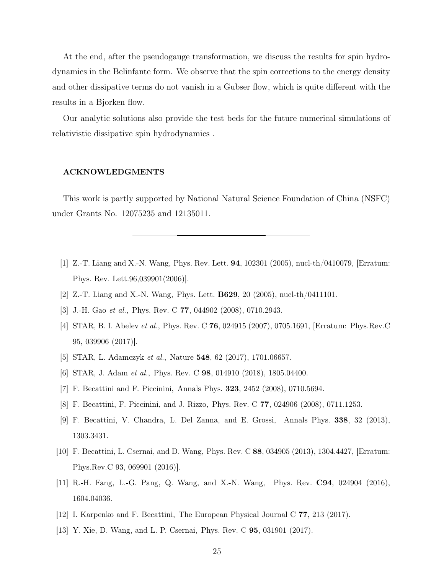At the end, after the pseudogauge transformation, we discuss the results for spin hydrodynamics in the Belinfante form. We observe that the spin corrections to the energy density and other dissipative terms do not vanish in a Gubser flow, which is quite different with the results in a Bjorken flow.

Our analytic solutions also provide the test beds for the future numerical simulations of relativistic dissipative spin hydrodynamics .

### ACKNOWLEDGMENTS

This work is partly supported by National Natural Science Foundation of China (NSFC) under Grants No. 12075235 and 12135011.

- <span id="page-24-0"></span>[1] Z.-T. Liang and X.-N. Wang, Phys. Rev. Lett. 94, 102301 (2005), nucl-th/0410079, [Erratum: Phys. Rev. Lett.96,039901(2006)].
- <span id="page-24-1"></span>[2] Z.-T. Liang and X.-N. Wang, Phys. Lett. B629, 20 (2005), nucl-th/0411101.
- <span id="page-24-2"></span>[3] J.-H. Gao et al., Phys. Rev. C 77, 044902 (2008), 0710.2943.
- [4] STAR, B. I. Abelev et al., Phys. Rev. C 76, 024915 (2007), 0705.1691, [Erratum: Phys.Rev.C 95, 039906 (2017)].
- <span id="page-24-3"></span>[5] STAR, L. Adamczyk et al., Nature 548, 62 (2017), 1701.06657.
- <span id="page-24-4"></span>[6] STAR, J. Adam et al., Phys. Rev. C 98, 014910 (2018), 1805.04400.
- [7] F. Becattini and F. Piccinini, Annals Phys. 323, 2452 (2008), 0710.5694.
- <span id="page-24-7"></span>[8] F. Becattini, F. Piccinini, and J. Rizzo, Phys. Rev. C 77, 024906 (2008), 0711.1253.
- [9] F. Becattini, V. Chandra, L. Del Zanna, and E. Grossi, Annals Phys. 338, 32 (2013), 1303.3431.
- [10] F. Becattini, L. Csernai, and D. Wang, Phys. Rev. C 88, 034905 (2013), 1304.4427, [Erratum: Phys.Rev.C 93, 069901 (2016)].
- <span id="page-24-8"></span>[11] R.-H. Fang, L.-G. Pang, Q. Wang, and X.-N. Wang, Phys. Rev. C94, 024904 (2016), 1604.04036.
- <span id="page-24-6"></span><span id="page-24-5"></span>[12] I. Karpenko and F. Becattini, The European Physical Journal C 77, 213 (2017).
- [13] Y. Xie, D. Wang, and L. P. Csernai, Phys. Rev. C 95, 031901 (2017).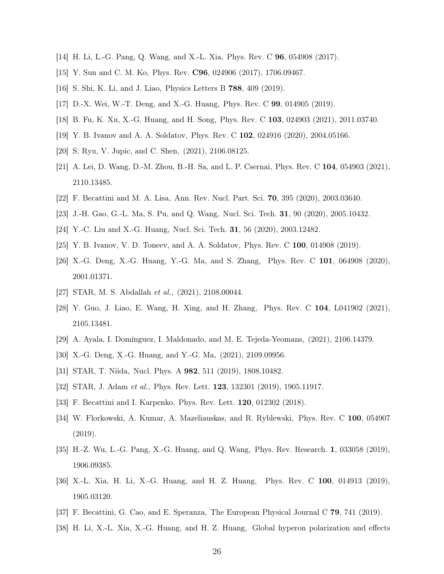- [14] H. Li, L.-G. Pang, Q. Wang, and X.-L. Xia, Phys. Rev. C 96, 054908 (2017).
- [15] Y. Sun and C. M. Ko, Phys. Rev. C96, 024906 (2017), 1706.09467.
- [16] S. Shi, K. Li, and J. Liao, Physics Letters B 788, 409 (2019).
- <span id="page-25-7"></span>[17] D.-X. Wei, W.-T. Deng, and X.-G. Huang, Phys. Rev. C 99, 014905 (2019).
- [18] B. Fu, K. Xu, X.-G. Huang, and H. Song, Phys. Rev. C 103, 024903 (2021), 2011.03740.
- <span id="page-25-12"></span>[19] Y. B. Ivanov and A. A. Soldatov, Phys. Rev. C 102, 024916 (2020), 2004.05166.
- <span id="page-25-0"></span>[20] S. Ryu, V. Jupic, and C. Shen, (2021), 2106.08125.
- [21] A. Lei, D. Wang, D.-M. Zhou, B.-H. Sa, and L. P. Csernai, Phys. Rev. C 104, 054903 (2021), 2110.13485.
- <span id="page-25-13"></span><span id="page-25-1"></span>[22] F. Becattini and M. A. Lisa, Ann. Rev. Nucl. Part. Sci. 70, 395 (2020), 2003.03640.
- <span id="page-25-2"></span>[23] J.-H. Gao, G.-L. Ma, S. Pu, and Q. Wang, Nucl. Sci. Tech. 31, 90 (2020), 2005.10432.
- <span id="page-25-3"></span>[24] Y.-C. Liu and X.-G. Huang, Nucl. Sci. Tech. 31, 56 (2020), 2003.12482.
- [25] Y. B. Ivanov, V. D. Toneev, and A. A. Soldatov, Phys. Rev. C 100, 014908 (2019).
- [26] X.-G. Deng, X.-G. Huang, Y.-G. Ma, and S. Zhang, Phys. Rev. C 101, 064908 (2020), 2001.01371.
- [27] STAR, M. S. Abdallah et al., (2021), 2108.00044.
- [28] Y. Guo, J. Liao, E. Wang, H. Xing, and H. Zhang, Phys. Rev. C 104, L041902 (2021), 2105.13481.
- <span id="page-25-4"></span>[29] A. Ayala, I. Domínguez, I. Maldonado, and M. E. Tejeda-Yeomans, (2021), 2106.14379.
- <span id="page-25-5"></span>[30] X.-G. Deng, X.-G. Huang, and Y.-G. Ma, (2021), 2109.09956.
- <span id="page-25-6"></span>[31] STAR, T. Niida, Nucl. Phys. A 982, 511 (2019), 1808.10482.
- <span id="page-25-8"></span>[32] STAR, J. Adam et al., Phys. Rev. Lett. **123**, 132301 (2019), 1905.11917.
- [33] F. Becattini and I. Karpenko, Phys. Rev. Lett. 120, 012302 (2018).
- [34] W. Florkowski, A. Kumar, A. Mazeliauskas, and R. Ryblewski, Phys. Rev. C 100, 054907 (2019).
- <span id="page-25-9"></span>[35] H.-Z. Wu, L.-G. Pang, X.-G. Huang, and Q. Wang, Phys. Rev. Research. 1, 033058 (2019), 1906.09385.
- <span id="page-25-10"></span>[36] X.-L. Xia, H. Li, X.-G. Huang, and H. Z. Huang, Phys. Rev. C 100, 014913 (2019), 1905.03120.
- <span id="page-25-11"></span>[37] F. Becattini, G. Cao, and E. Speranza, The European Physical Journal C 79, 741 (2019).
- [38] H. Li, X.-L. Xia, X.-G. Huang, and H. Z. Huang, Global hyperon polarization and effects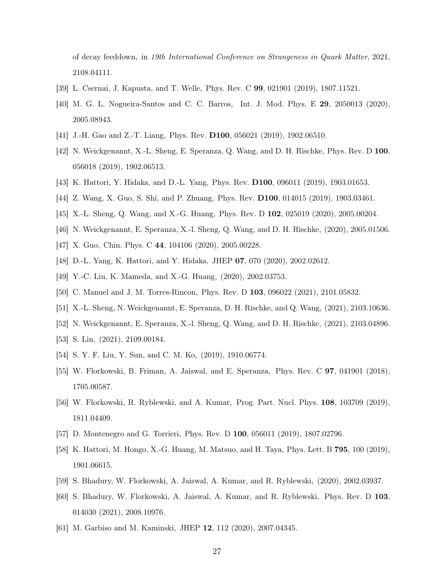of decay feeddown, in 19th International Conference on Strangeness in Quark Matter, 2021, 2108.04111.

- <span id="page-26-1"></span><span id="page-26-0"></span>[39] L. Csernai, J. Kapusta, and T. Welle, Phys. Rev. C 99, 021901 (2019), 1807.11521.
- [40] M. G. L. Nogueira-Santos and C. C. Barros, Int. J. Mod. Phys. E 29, 2050013 (2020), 2005.08943.
- <span id="page-26-2"></span>[41] J.-H. Gao and Z.-T. Liang, Phys. Rev. D100, 056021 (2019), 1902.06510.
- [42] N. Weickgenannt, X.-L. Sheng, E. Speranza, Q. Wang, and D. H. Rischke, Phys. Rev. D 100, 056018 (2019), 1902.06513.
- <span id="page-26-7"></span>[43] K. Hattori, Y. Hidaka, and D.-L. Yang, Phys. Rev. D100, 096011 (2019), 1903.01653.
- [44] Z. Wang, X. Guo, S. Shi, and P. Zhuang, Phys. Rev. D100, 014015 (2019), 1903.03461.
- <span id="page-26-10"></span>[45] X.-L. Sheng, Q. Wang, and X.-G. Huang, Phys. Rev. D 102, 025019 (2020), 2005.00204.
- [46] N. Weickgenannt, E. Speranza, X.-l. Sheng, Q. Wang, and D. H. Rischke, (2020), 2005.01506.
- <span id="page-26-11"></span>[47] X. Guo, Chin. Phys. C 44, 104106 (2020), 2005.00228.
- <span id="page-26-12"></span>[48] D.-L. Yang, K. Hattori, and Y. Hidaka, JHEP 07, 070 (2020), 2002.02612.
- [49] Y.-C. Liu, K. Mameda, and X.-G. Huang, (2020), 2002.03753.
- <span id="page-26-13"></span>[50] C. Manuel and J. M. Torres-Rincon, Phys. Rev. D 103, 096022 (2021), 2101.05832.
- <span id="page-26-14"></span>[51] X.-L. Sheng, N. Weickgenannt, E. Speranza, D. H. Rischke, and Q. Wang, (2021), 2103.10636.
- <span id="page-26-3"></span>[52] N. Weickgenannt, E. Speranza, X.-l. Sheng, Q. Wang, and D. H. Rischke, (2021), 2103.04896.
- <span id="page-26-4"></span>[53] S. Lin, (2021), 2109.00184.
- <span id="page-26-5"></span>[54] S. Y. F. Liu, Y. Sun, and C. M. Ko, (2019), 1910.06774.
- [55] W. Florkowski, B. Friman, A. Jaiswal, and E. Speranza, Phys. Rev. C 97, 041901 (2018), 1705.00587.
- <span id="page-26-8"></span>[56] W. Florkowski, R. Ryblewski, and A. Kumar, Prog. Part. Nucl. Phys. 108, 103709 (2019), 1811.04409.
- <span id="page-26-6"></span>[57] D. Montenegro and G. Torrieri, Phys. Rev. D 100, 056011 (2019), 1807.02796.
- [58] K. Hattori, M. Hongo, X.-G. Huang, M. Matsuo, and H. Taya, Phys. Lett. B 795, 100 (2019), 1901.06615.
- <span id="page-26-9"></span>[59] S. Bhadury, W. Florkowski, A. Jaiswal, A. Kumar, and R. Ryblewski, (2020), 2002.03937.
- [60] S. Bhadury, W. Florkowski, A. Jaiswal, A. Kumar, and R. Ryblewski, Phys. Rev. D 103, 014030 (2021), 2008.10976.
- [61] M. Garbiso and M. Kaminski, JHEP 12, 112 (2020), 2007.04345.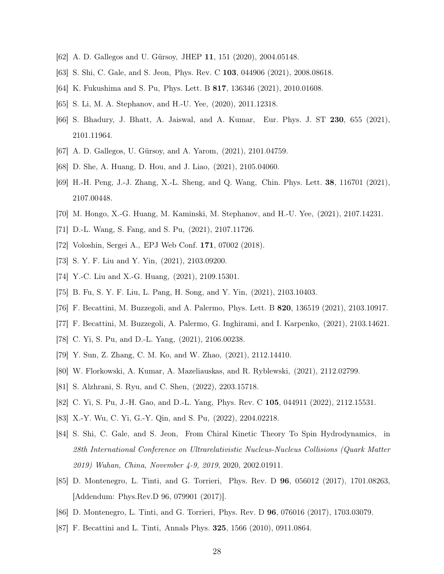- <span id="page-27-21"></span>[62] A. D. Gallegos and U. Gürsoy, JHEP 11, 151 (2020), 2004.05148.
- <span id="page-27-13"></span>[63] S. Shi, C. Gale, and S. Jeon, Phys. Rev. C 103, 044906 (2021), 2008.08618.
- <span id="page-27-14"></span>[64] K. Fukushima and S. Pu, Phys. Lett. B 817, 136346 (2021), 2010.01608.
- <span id="page-27-20"></span>[65] S. Li, M. A. Stephanov, and H.-U. Yee, (2020), 2011.12318.
- [66] S. Bhadury, J. Bhatt, A. Jaiswal, and A. Kumar, Eur. Phys. J. ST 230, 655 (2021), 2101.11964.
- <span id="page-27-16"></span><span id="page-27-15"></span>[67] A. D. Gallegos, U. Gürsoy, and A. Yarom, (2021), 2101.04759.
- <span id="page-27-19"></span>[68] D. She, A. Huang, D. Hou, and J. Liao, (2021), 2105.04060.
- [69] H.-H. Peng, J.-J. Zhang, X.-L. Sheng, and Q. Wang, Chin. Phys. Lett. 38, 116701 (2021), 2107.00448.
- <span id="page-27-17"></span><span id="page-27-0"></span>[70] M. Hongo, X.-G. Huang, M. Kaminski, M. Stephanov, and H.-U. Yee, (2021), 2107.14231.
- <span id="page-27-1"></span>[71] D.-L. Wang, S. Fang, and S. Pu, (2021), 2107.11726.
- <span id="page-27-2"></span>[72] Voloshin, Sergei A., EPJ Web Conf. 171, 07002 (2018).
- <span id="page-27-10"></span>[73] S. Y. F. Liu and Y. Yin, (2021), 2103.09200.
- <span id="page-27-4"></span>[74] Y.-C. Liu and X.-G. Huang, (2021), 2109.15301.
- [75] B. Fu, S. Y. F. Liu, L. Pang, H. Song, and Y. Yin, (2021), 2103.10403.
- <span id="page-27-3"></span>[76] F. Becattini, M. Buzzegoli, and A. Palermo, Phys. Lett. B 820, 136519 (2021), 2103.10917.
- <span id="page-27-5"></span>[77] F. Becattini, M. Buzzegoli, A. Palermo, G. Inghirami, and I. Karpenko, (2021), 2103.14621.
- <span id="page-27-6"></span>[78] C. Yi, S. Pu, and D.-L. Yang,  $(2021)$ , 2106.00238.
- <span id="page-27-7"></span>[79] Y. Sun, Z. Zhang, C. M. Ko, and W. Zhao, (2021), 2112.14410.
- [80] W. Florkowski, A. Kumar, A. Mazeliauskas, and R. Ryblewski, (2021), 2112.02799.
- [81] S. Alzhrani, S. Ryu, and C. Shen, (2022), 2203.15718.
- <span id="page-27-8"></span>[82] C. Yi, S. Pu, J.-H. Gao, and D.-L. Yang, Phys. Rev. C 105, 044911 (2022), 2112.15531.
- <span id="page-27-9"></span>[83] X.-Y. Wu, C. Yi, G.-Y. Qin, and S. Pu, (2022), 2204.02218.
- [84] S. Shi, C. Gale, and S. Jeon, From Chiral Kinetic Theory To Spin Hydrodynamics, in 28th International Conference on Ultrarelativistic Nucleus-Nucleus Collisions (Quark Matter 2019) Wuhan, China, November 4-9, 2019, 2020, 2002.01911.
- <span id="page-27-11"></span>[85] D. Montenegro, L. Tinti, and G. Torrieri, Phys. Rev. D 96, 056012 (2017), 1701.08263, [Addendum: Phys.Rev.D 96, 079901 (2017)].
- <span id="page-27-18"></span><span id="page-27-12"></span>[86] D. Montenegro, L. Tinti, and G. Torrieri, Phys. Rev. D 96, 076016 (2017), 1703.03079.
- [87] F. Becattini and L. Tinti, Annals Phys. 325, 1566 (2010), 0911.0864.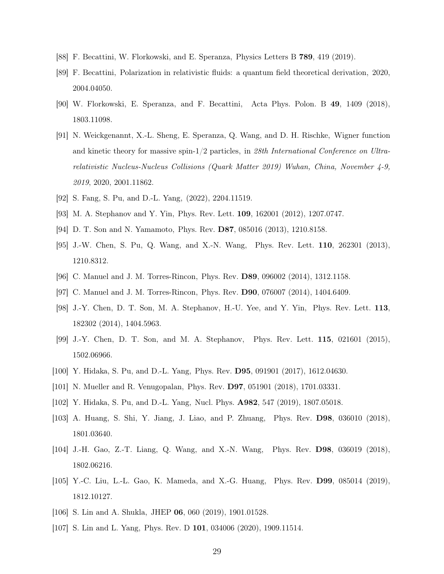- <span id="page-28-6"></span><span id="page-28-0"></span>[88] F. Becattini, W. Florkowski, and E. Speranza, Physics Letters B 789, 419 (2019).
- [89] F. Becattini, Polarization in relativistic fluids: a quantum field theoretical derivation, 2020, 2004.04050.
- <span id="page-28-1"></span>[90] W. Florkowski, E. Speranza, and F. Becattini, Acta Phys. Polon. B 49, 1409 (2018), 1803.11098.
- <span id="page-28-2"></span>[91] N. Weickgenannt, X.-L. Sheng, E. Speranza, Q. Wang, and D. H. Rischke, Wigner function and kinetic theory for massive spin-1/2 particles, in 28th International Conference on Ultrarelativistic Nucleus-Nucleus Collisions (Quark Matter 2019) Wuhan, China, November 4-9, 2019, 2020, 2001.11862.
- <span id="page-28-4"></span><span id="page-28-3"></span>[92] S. Fang, S. Pu, and D.-L. Yang, (2022), 2204.11519.
- [93] M. A. Stephanov and Y. Yin, Phys. Rev. Lett. 109, 162001 (2012), 1207.0747.
- [94] D. T. Son and N. Yamamoto, Phys. Rev. D87, 085016 (2013), 1210.8158.
- [95] J.-W. Chen, S. Pu, Q. Wang, and X.-N. Wang, Phys. Rev. Lett. 110, 262301 (2013), 1210.8312.
- [96] C. Manuel and J. M. Torres-Rincon, Phys. Rev. D89, 096002 (2014), 1312.1158.
- [97] C. Manuel and J. M. Torres-Rincon, Phys. Rev. D90, 076007 (2014), 1404.6409.
- [98] J.-Y. Chen, D. T. Son, M. A. Stephanov, H.-U. Yee, and Y. Yin, Phys. Rev. Lett. 113, 182302 (2014), 1404.5963.
- [99] J.-Y. Chen, D. T. Son, and M. A. Stephanov, Phys. Rev. Lett. 115, 021601 (2015), 1502.06966.
- [100] Y. Hidaka, S. Pu, and D.-L. Yang, Phys. Rev. D95, 091901 (2017), 1612.04630.
- [101] N. Mueller and R. Venugopalan, Phys. Rev. D97, 051901 (2018), 1701.03331.
- [102] Y. Hidaka, S. Pu, and D.-L. Yang, Nucl. Phys. A982, 547 (2019), 1807.05018.
- [103] A. Huang, S. Shi, Y. Jiang, J. Liao, and P. Zhuang, Phys. Rev. D98, 036010 (2018), 1801.03640.
- [104] J.-H. Gao, Z.-T. Liang, Q. Wang, and X.-N. Wang, Phys. Rev. D98, 036019 (2018), 1802.06216.
- [105] Y.-C. Liu, L.-L. Gao, K. Mameda, and X.-G. Huang, Phys. Rev. D99, 085014 (2019), 1812.10127.
- <span id="page-28-5"></span>[106] S. Lin and A. Shukla, JHEP 06, 060 (2019), 1901.01528.
- [107] S. Lin and L. Yang, Phys. Rev. D 101, 034006 (2020), 1909.11514.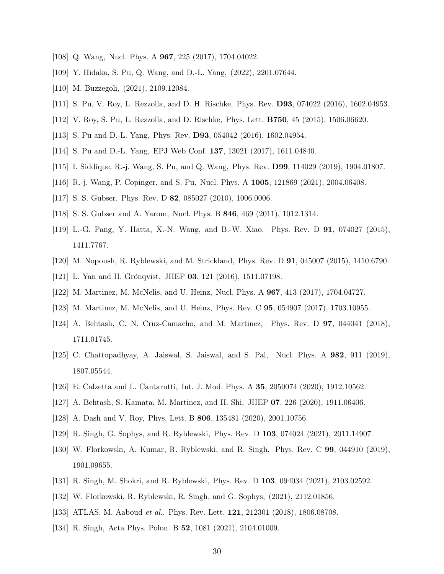- <span id="page-29-1"></span><span id="page-29-0"></span>[108] Q. Wang, Nucl. Phys. A **967**, 225 (2017), 1704.04022.
- <span id="page-29-2"></span>[109] Y. Hidaka, S. Pu, Q. Wang, and D.-L. Yang, (2022), 2201.07644.
- <span id="page-29-3"></span>[110] M. Buzzegoli, (2021), 2109.12084.
- [111] S. Pu, V. Roy, L. Rezzolla, and D. H. Rischke, Phys. Rev. **D93**, 074022 (2016), 1602.04953.
- [112] V. Roy, S. Pu, L. Rezzolla, and D. Rischke, Phys. Lett. B750, 45 (2015), 1506.06620.
- [113] S. Pu and D.-L. Yang, Phys. Rev. D93, 054042 (2016), 1602.04954.
- [114] S. Pu and D.-L. Yang, EPJ Web Conf. 137, 13021 (2017), 1611.04840.
- <span id="page-29-4"></span>[115] I. Siddique, R.-j. Wang, S. Pu, and Q. Wang, Phys. Rev. D99, 114029 (2019), 1904.01807.
- <span id="page-29-5"></span>[116] R.-j. Wang, P. Copinger, and S. Pu, Nucl. Phys. A 1005, 121869 (2021), 2004.06408.
- <span id="page-29-8"></span>[117] S. S. Gubser, Phys. Rev. D **82**, 085027 (2010), 1006.0006.
- [118] S. S. Gubser and A. Yarom, Nucl. Phys. B 846, 469 (2011), 1012.1314.
- [119] L.-G. Pang, Y. Hatta, X.-N. Wang, and B.-W. Xiao, Phys. Rev. D 91, 074027 (2015), 1411.7767.
- <span id="page-29-11"></span>[120] M. Nopoush, R. Ryblewski, and M. Strickland, Phys. Rev. D 91, 045007 (2015), 1410.6790.
- [121] L. Yan and H. Grönqvist, JHEP 03, 121 (2016), 1511.07198.
- <span id="page-29-12"></span>[122] M. Martinez, M. McNelis, and U. Heinz, Nucl. Phys. A 967, 413 (2017), 1704.04727.
- [123] M. Martinez, M. McNelis, and U. Heinz, Phys. Rev. C 95, 054907 (2017), 1703.10955.
- [124] A. Behtash, C. N. Cruz-Camacho, and M. Martinez, Phys. Rev. D 97, 044041 (2018), 1711.01745.
- [125] C. Chattopadhyay, A. Jaiswal, S. Jaiswal, and S. Pal, Nucl. Phys. A 982, 911 (2019), 1807.05544.
- [126] E. Calzetta and L. Cantarutti, Int. J. Mod. Phys. A 35, 2050074 (2020), 1912.10562.
- [127] A. Behtash, S. Kamata, M. Martinez, and H. Shi, JHEP 07, 226 (2020), 1911.06406.
- <span id="page-29-6"></span>[128] A. Dash and V. Roy, Phys. Lett. B 806, 135481 (2020), 2001.10756.
- [129] R. Singh, G. Sophys, and R. Ryblewski, Phys. Rev. D 103, 074024 (2021), 2011.14907.
- [130] W. Florkowski, A. Kumar, R. Ryblewski, and R. Singh, Phys. Rev. C 99, 044910 (2019), 1901.09655.
- <span id="page-29-7"></span>[131] R. Singh, M. Shokri, and R. Ryblewski, Phys. Rev. D 103, 094034 (2021), 2103.02592.
- <span id="page-29-9"></span>[132] W. Florkowski, R. Ryblewski, R. Singh, and G. Sophys, (2021), 2112.01856.
- <span id="page-29-10"></span>[133] ATLAS, M. Aaboud et al., Phys. Rev. Lett. 121, 212301 (2018), 1806.08708.
- [134] R. Singh, Acta Phys. Polon. B 52, 1081 (2021), 2104.01009.